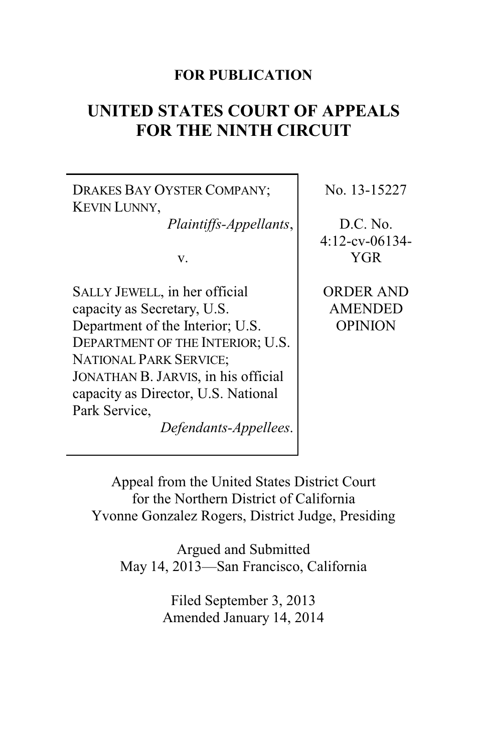# **FOR PUBLICATION**

# **UNITED STATES COURT OF APPEALS FOR THE NINTH CIRCUIT**

DRAKES BAY OYSTER COMPANY; KEVIN LUNNY,

*Plaintiffs-Appellants*,

v.

SALLY JEWELL, in her official capacity as Secretary, U.S. Department of the Interior; U.S. DEPARTMENT OF THE INTERIOR; U.S. NATIONAL PARK SERVICE; JONATHAN B. JARVIS, in his official capacity as Director, U.S. National Park Service,

*Defendants-Appellees*.

No. 13-15227

D.C. No. 4:12-cv-06134- YGR

ORDER AND AMENDED OPINION

Appeal from the United States District Court for the Northern District of California Yvonne Gonzalez Rogers, District Judge, Presiding

Argued and Submitted May 14, 2013—San Francisco, California

> Filed September 3, 2013 Amended January 14, 2014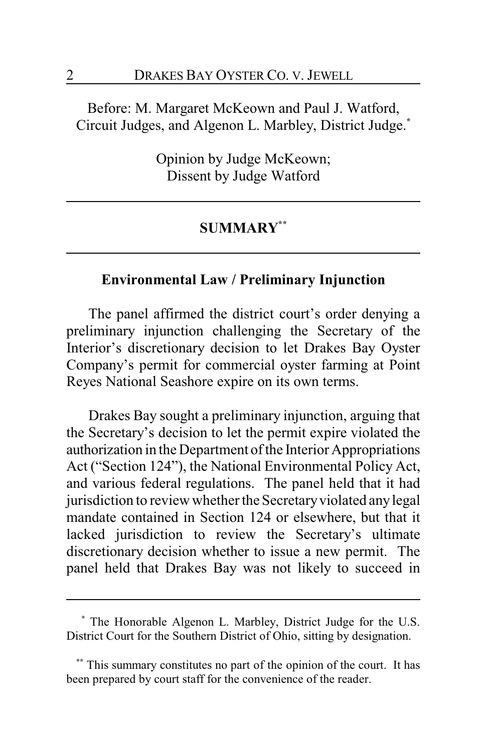Before: M. Margaret McKeown and Paul J. Watford, Circuit Judges, and Algenon L. Marbley, District Judge.**\***

> Opinion by Judge McKeown; Dissent by Judge Watford

### **SUMMARY\*\***

## **Environmental Law / Preliminary Injunction**

The panel affirmed the district court's order denying a preliminary injunction challenging the Secretary of the Interior's discretionary decision to let Drakes Bay Oyster Company's permit for commercial oyster farming at Point Reyes National Seashore expire on its own terms.

Drakes Bay sought a preliminary injunction, arguing that the Secretary's decision to let the permit expire violated the authorization in the Department of the Interior Appropriations Act ("Section 124"), the National Environmental Policy Act, and various federal regulations. The panel held that it had jurisdiction to review whether the Secretary violated any legal mandate contained in Section 124 or elsewhere, but that it lacked jurisdiction to review the Secretary's ultimate discretionary decision whether to issue a new permit. The panel held that Drakes Bay was not likely to succeed in

**<sup>\*</sup>** The Honorable Algenon L. Marbley, District Judge for the U.S. District Court for the Southern District of Ohio, sitting by designation.

This summary constitutes no part of the opinion of the court. It has been prepared by court staff for the convenience of the reader.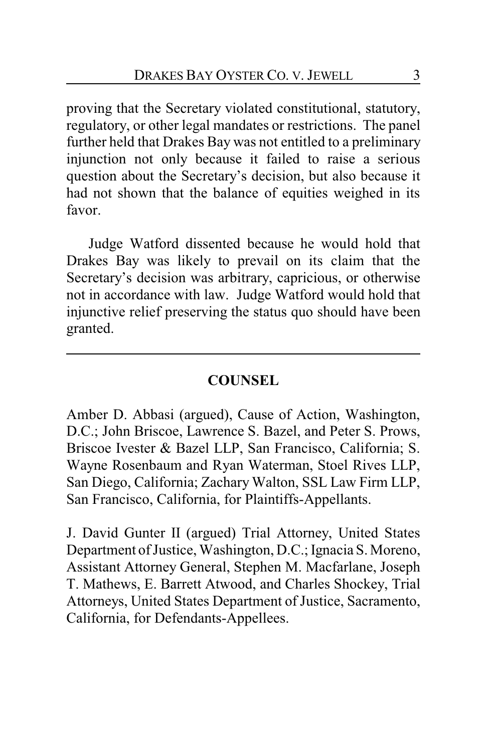proving that the Secretary violated constitutional, statutory, regulatory, or other legal mandates or restrictions. The panel further held that Drakes Bay was not entitled to a preliminary injunction not only because it failed to raise a serious question about the Secretary's decision, but also because it had not shown that the balance of equities weighed in its favor.

Judge Watford dissented because he would hold that Drakes Bay was likely to prevail on its claim that the Secretary's decision was arbitrary, capricious, or otherwise not in accordance with law. Judge Watford would hold that injunctive relief preserving the status quo should have been granted.

# **COUNSEL**

Amber D. Abbasi (argued), Cause of Action, Washington, D.C.; John Briscoe, Lawrence S. Bazel, and Peter S. Prows, Briscoe Ivester & Bazel LLP, San Francisco, California; S. Wayne Rosenbaum and Ryan Waterman, Stoel Rives LLP, San Diego, California; Zachary Walton, SSL Law Firm LLP, San Francisco, California, for Plaintiffs-Appellants.

J. David Gunter II (argued) Trial Attorney, United States Department of Justice, Washington, D.C.; Ignacia S. Moreno, Assistant Attorney General, Stephen M. Macfarlane, Joseph T. Mathews, E. Barrett Atwood, and Charles Shockey, Trial Attorneys, United States Department of Justice, Sacramento, California, for Defendants-Appellees.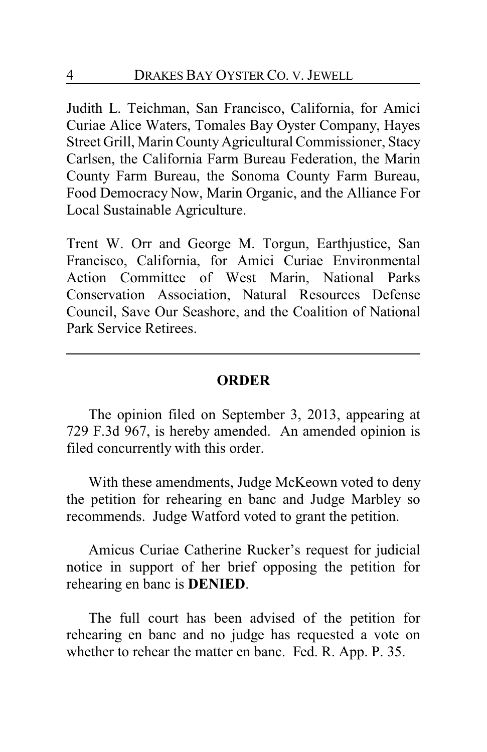Judith L. Teichman, San Francisco, California, for Amici Curiae Alice Waters, Tomales Bay Oyster Company, Hayes Street Grill, Marin County Agricultural Commissioner, Stacy Carlsen, the California Farm Bureau Federation, the Marin County Farm Bureau, the Sonoma County Farm Bureau, Food Democracy Now, Marin Organic, and the Alliance For Local Sustainable Agriculture.

Trent W. Orr and George M. Torgun, Earthjustice, San Francisco, California, for Amici Curiae Environmental Action Committee of West Marin, National Parks Conservation Association, Natural Resources Defense Council, Save Our Seashore, and the Coalition of National Park Service Retirees.

## **ORDER**

The opinion filed on September 3, 2013, appearing at 729 F.3d 967, is hereby amended. An amended opinion is filed concurrently with this order.

With these amendments, Judge McKeown voted to deny the petition for rehearing en banc and Judge Marbley so recommends. Judge Watford voted to grant the petition.

Amicus Curiae Catherine Rucker's request for judicial notice in support of her brief opposing the petition for rehearing en banc is **DENIED**.

The full court has been advised of the petition for rehearing en banc and no judge has requested a vote on whether to rehear the matter en banc. Fed. R. App. P. 35.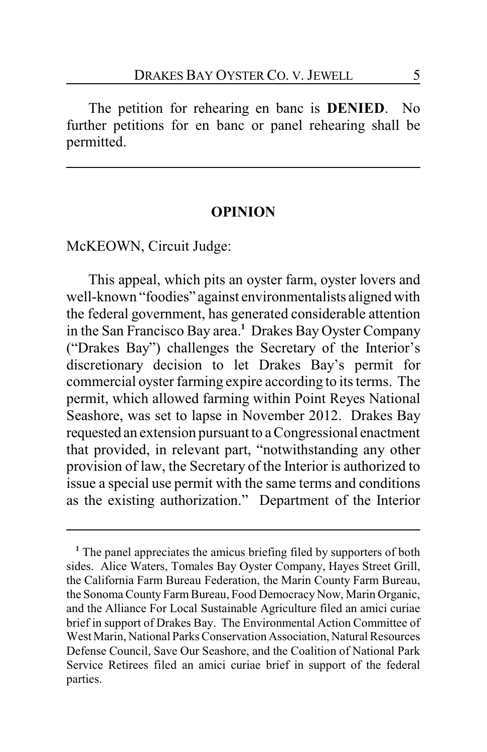The petition for rehearing en banc is **DENIED**. No further petitions for en banc or panel rehearing shall be permitted.

#### **OPINION**

McKEOWN, Circuit Judge:

This appeal, which pits an oyster farm, oyster lovers and well-known "foodies" against environmentalists aligned with the federal government, has generated considerable attention in the San Francisco Bay area.**<sup>1</sup>** Drakes Bay Oyster Company ("Drakes Bay") challenges the Secretary of the Interior's discretionary decision to let Drakes Bay's permit for commercial oyster farming expire according to its terms. The permit, which allowed farming within Point Reyes National Seashore, was set to lapse in November 2012. Drakes Bay requested an extension pursuant to a Congressional enactment that provided, in relevant part, "notwithstanding any other provision of law, the Secretary of the Interior is authorized to issue a special use permit with the same terms and conditions as the existing authorization." Department of the Interior

<sup>&</sup>lt;sup>1</sup> The panel appreciates the amicus briefing filed by supporters of both sides. Alice Waters, Tomales Bay Oyster Company, Hayes Street Grill, the California Farm Bureau Federation, the Marin County Farm Bureau, the Sonoma County Farm Bureau, Food Democracy Now, Marin Organic, and the Alliance For Local Sustainable Agriculture filed an amici curiae brief in support of Drakes Bay. The Environmental Action Committee of West Marin, National Parks Conservation Association, Natural Resources Defense Council, Save Our Seashore, and the Coalition of National Park Service Retirees filed an amici curiae brief in support of the federal parties.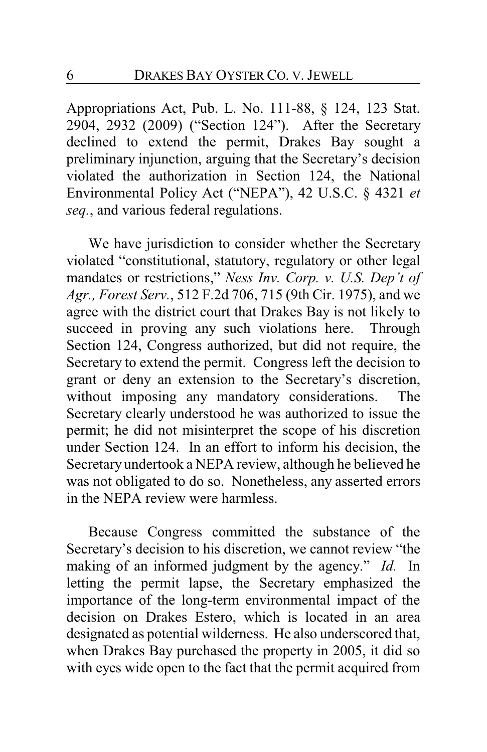Appropriations Act, Pub. L. No. 111-88, § 124, 123 Stat. 2904, 2932 (2009) ("Section 124"). After the Secretary declined to extend the permit, Drakes Bay sought a preliminary injunction, arguing that the Secretary's decision violated the authorization in Section 124, the National Environmental Policy Act ("NEPA"), 42 U.S.C. § 4321 *et seq.*, and various federal regulations.

We have jurisdiction to consider whether the Secretary violated "constitutional, statutory, regulatory or other legal mandates or restrictions," *Ness Inv. Corp. v. U.S. Dep't of Agr., Forest Serv.*, 512 F.2d 706, 715 (9th Cir. 1975), and we agree with the district court that Drakes Bay is not likely to succeed in proving any such violations here. Through Section 124, Congress authorized, but did not require, the Secretary to extend the permit. Congress left the decision to grant or deny an extension to the Secretary's discretion, without imposing any mandatory considerations. The Secretary clearly understood he was authorized to issue the permit; he did not misinterpret the scope of his discretion under Section 124. In an effort to inform his decision, the Secretary undertook a NEPA review, although he believed he was not obligated to do so. Nonetheless, any asserted errors in the NEPA review were harmless.

Because Congress committed the substance of the Secretary's decision to his discretion, we cannot review "the making of an informed judgment by the agency." *Id.* In letting the permit lapse, the Secretary emphasized the importance of the long-term environmental impact of the decision on Drakes Estero, which is located in an area designated as potential wilderness. He also underscored that, when Drakes Bay purchased the property in 2005, it did so with eyes wide open to the fact that the permit acquired from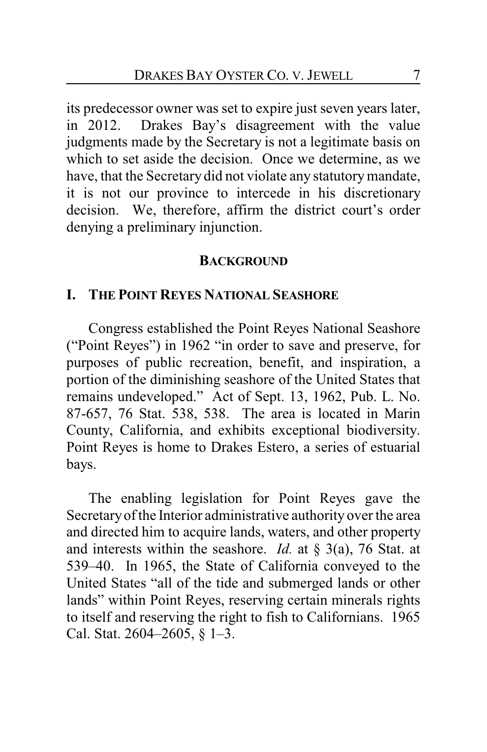its predecessor owner was set to expire just seven years later, in 2012. Drakes Bay's disagreement with the value judgments made by the Secretary is not a legitimate basis on which to set aside the decision. Once we determine, as we have, that the Secretary did not violate any statutory mandate, it is not our province to intercede in his discretionary decision. We, therefore, affirm the district court's order denying a preliminary injunction.

#### **BACKGROUND**

#### **I. THE POINT REYES NATIONAL SEASHORE**

Congress established the Point Reyes National Seashore ("Point Reyes") in 1962 "in order to save and preserve, for purposes of public recreation, benefit, and inspiration, a portion of the diminishing seashore of the United States that remains undeveloped." Act of Sept. 13, 1962, Pub. L. No. 87-657, 76 Stat. 538, 538. The area is located in Marin County, California, and exhibits exceptional biodiversity. Point Reyes is home to Drakes Estero, a series of estuarial bays.

The enabling legislation for Point Reyes gave the Secretaryof the Interior administrative authority over the area and directed him to acquire lands, waters, and other property and interests within the seashore. *Id.* at § 3(a), 76 Stat. at 539–40. In 1965, the State of California conveyed to the United States "all of the tide and submerged lands or other lands" within Point Reyes, reserving certain minerals rights to itself and reserving the right to fish to Californians. 1965 Cal. Stat. 2604–2605, § 1–3.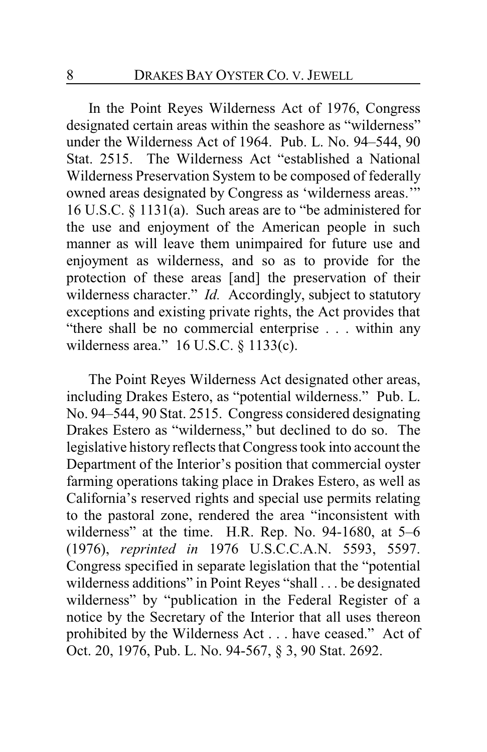In the Point Reyes Wilderness Act of 1976, Congress designated certain areas within the seashore as "wilderness" under the Wilderness Act of 1964. Pub. L. No. 94–544, 90 Stat. 2515. The Wilderness Act "established a National Wilderness Preservation System to be composed of federally owned areas designated by Congress as 'wilderness areas.'" 16 U.S.C. § 1131(a). Such areas are to "be administered for the use and enjoyment of the American people in such manner as will leave them unimpaired for future use and enjoyment as wilderness, and so as to provide for the protection of these areas [and] the preservation of their wilderness character." *Id.* Accordingly, subject to statutory exceptions and existing private rights, the Act provides that "there shall be no commercial enterprise . . . within any wilderness area." 16 U.S.C. § 1133(c).

The Point Reyes Wilderness Act designated other areas, including Drakes Estero, as "potential wilderness." Pub. L. No. 94–544, 90 Stat. 2515. Congress considered designating Drakes Estero as "wilderness," but declined to do so. The legislative history reflects that Congress took into account the Department of the Interior's position that commercial oyster farming operations taking place in Drakes Estero, as well as California's reserved rights and special use permits relating to the pastoral zone, rendered the area "inconsistent with wilderness" at the time. H.R. Rep. No. 94-1680, at 5–6 (1976), *reprinted in* 1976 U.S.C.C.A.N. 5593, 5597. Congress specified in separate legislation that the "potential wilderness additions" in Point Reyes "shall . . . be designated wilderness" by "publication in the Federal Register of a notice by the Secretary of the Interior that all uses thereon prohibited by the Wilderness Act . . . have ceased." Act of Oct. 20, 1976, Pub. L. No. 94-567, § 3, 90 Stat. 2692.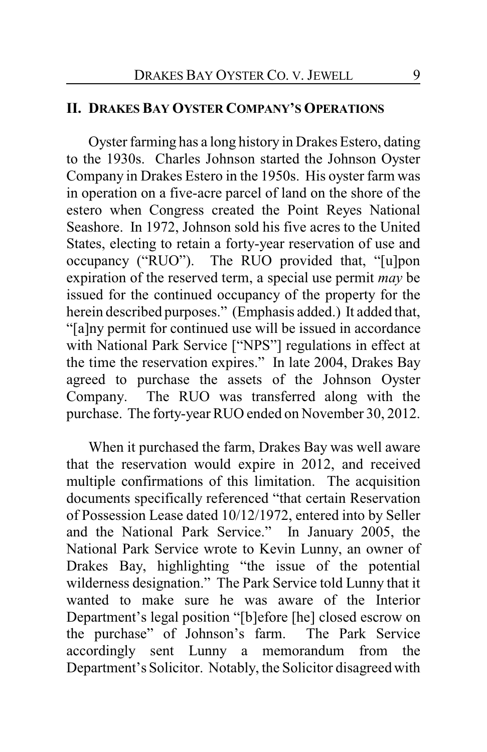### **II. DRAKES BAY OYSTER COMPANY'S OPERATIONS**

Oyster farming has a long history in Drakes Estero, dating to the 1930s. Charles Johnson started the Johnson Oyster Company in Drakes Estero in the 1950s. His oyster farm was in operation on a five-acre parcel of land on the shore of the estero when Congress created the Point Reyes National Seashore. In 1972, Johnson sold his five acres to the United States, electing to retain a forty-year reservation of use and occupancy ("RUO"). The RUO provided that, "[u]pon expiration of the reserved term, a special use permit *may* be issued for the continued occupancy of the property for the herein described purposes." (Emphasis added.) It added that, "[a]ny permit for continued use will be issued in accordance with National Park Service ["NPS"] regulations in effect at the time the reservation expires." In late 2004, Drakes Bay agreed to purchase the assets of the Johnson Oyster Company. The RUO was transferred along with the purchase. The forty-year RUO ended on November 30, 2012.

When it purchased the farm, Drakes Bay was well aware that the reservation would expire in 2012, and received multiple confirmations of this limitation. The acquisition documents specifically referenced "that certain Reservation of Possession Lease dated 10/12/1972, entered into by Seller and the National Park Service." In January 2005, the National Park Service wrote to Kevin Lunny, an owner of Drakes Bay, highlighting "the issue of the potential wilderness designation." The Park Service told Lunny that it wanted to make sure he was aware of the Interior Department's legal position "[b]efore [he] closed escrow on the purchase" of Johnson's farm. The Park Service accordingly sent Lunny a memorandum from the Department's Solicitor. Notably, the Solicitor disagreed with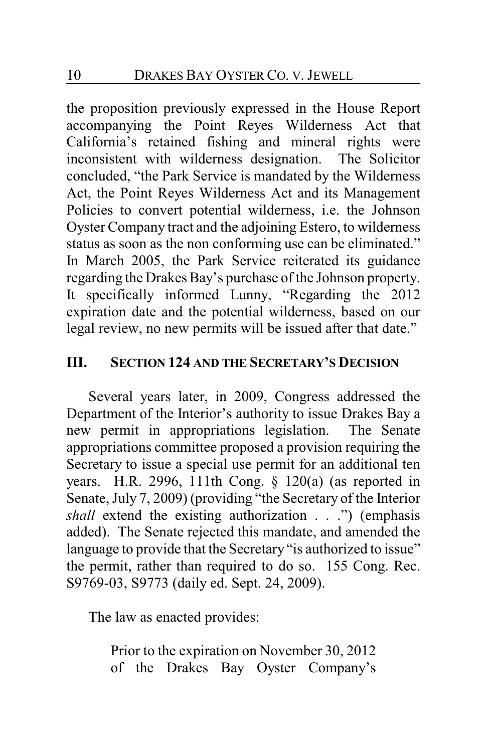the proposition previously expressed in the House Report accompanying the Point Reyes Wilderness Act that California's retained fishing and mineral rights were inconsistent with wilderness designation. The Solicitor concluded, "the Park Service is mandated by the Wilderness Act, the Point Reyes Wilderness Act and its Management Policies to convert potential wilderness, i.e. the Johnson Oyster Company tract and the adjoining Estero, to wilderness status as soon as the non conforming use can be eliminated." In March 2005, the Park Service reiterated its guidance regarding the Drakes Bay's purchase of the Johnson property. It specifically informed Lunny, "Regarding the 2012 expiration date and the potential wilderness, based on our legal review, no new permits will be issued after that date."

# **III. SECTION 124 AND THE SECRETARY'S DECISION**

Several years later, in 2009, Congress addressed the Department of the Interior's authority to issue Drakes Bay a new permit in appropriations legislation. The Senate appropriations committee proposed a provision requiring the Secretary to issue a special use permit for an additional ten years. H.R. 2996, 111th Cong. § 120(a) (as reported in Senate, July 7, 2009) (providing "the Secretary of the Interior *shall* extend the existing authorization . . .") (emphasis added). The Senate rejected this mandate, and amended the language to provide that the Secretary "is authorized to issue" the permit, rather than required to do so. 155 Cong. Rec. S9769-03, S9773 (daily ed. Sept. 24, 2009).

The law as enacted provides:

Prior to the expiration on November 30, 2012 of the Drakes Bay Oyster Company's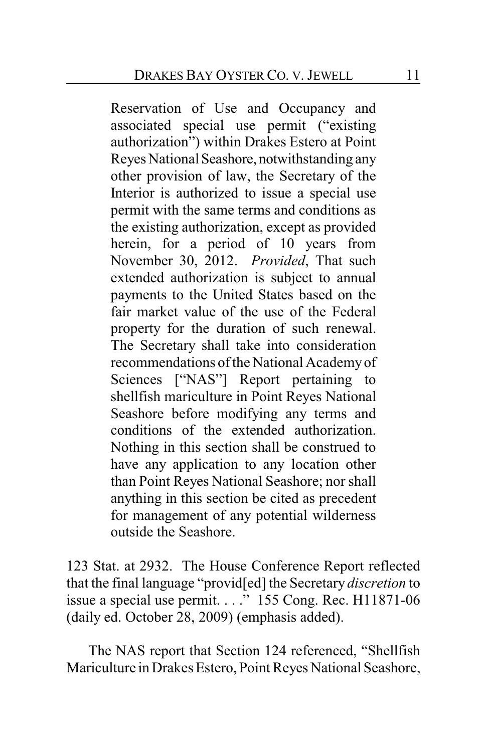Reservation of Use and Occupancy and associated special use permit ("existing authorization") within Drakes Estero at Point Reyes National Seashore, notwithstanding any other provision of law, the Secretary of the Interior is authorized to issue a special use permit with the same terms and conditions as the existing authorization, except as provided herein, for a period of 10 years from November 30, 2012. *Provided*, That such extended authorization is subject to annual payments to the United States based on the fair market value of the use of the Federal property for the duration of such renewal. The Secretary shall take into consideration recommendations of the National Academyof Sciences ["NAS"] Report pertaining to shellfish mariculture in Point Reyes National Seashore before modifying any terms and conditions of the extended authorization. Nothing in this section shall be construed to have any application to any location other than Point Reyes National Seashore; nor shall anything in this section be cited as precedent for management of any potential wilderness outside the Seashore.

123 Stat. at 2932. The House Conference Report reflected that the final language "provid[ed] the Secretary *discretion* to issue a special use permit. . . ." 155 Cong. Rec. H11871-06 (daily ed. October 28, 2009) (emphasis added).

The NAS report that Section 124 referenced, "Shellfish Mariculture in Drakes Estero, Point Reyes National Seashore,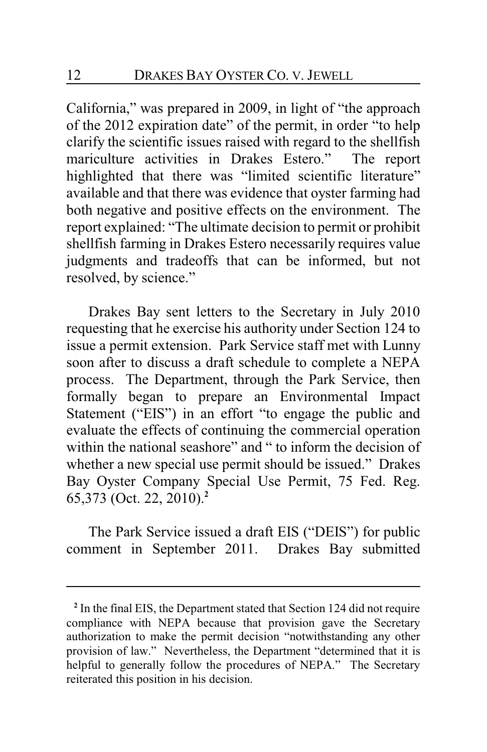California," was prepared in 2009, in light of "the approach of the 2012 expiration date" of the permit, in order "to help clarify the scientific issues raised with regard to the shellfish mariculture activities in Drakes Estero." The report highlighted that there was "limited scientific literature" available and that there was evidence that oyster farming had both negative and positive effects on the environment. The report explained: "The ultimate decision to permit or prohibit shellfish farming in Drakes Estero necessarily requires value judgments and tradeoffs that can be informed, but not resolved, by science."

Drakes Bay sent letters to the Secretary in July 2010 requesting that he exercise his authority under Section 124 to issue a permit extension. Park Service staff met with Lunny soon after to discuss a draft schedule to complete a NEPA process. The Department, through the Park Service, then formally began to prepare an Environmental Impact Statement ("EIS") in an effort "to engage the public and evaluate the effects of continuing the commercial operation within the national seashore" and " to inform the decision of whether a new special use permit should be issued." Drakes Bay Oyster Company Special Use Permit, 75 Fed. Reg. 65,373 (Oct. 22, 2010).**<sup>2</sup>**

The Park Service issued a draft EIS ("DEIS") for public comment in September 2011. Drakes Bay submitted

**<sup>2</sup>** In the final EIS, the Department stated that Section 124 did not require compliance with NEPA because that provision gave the Secretary authorization to make the permit decision "notwithstanding any other provision of law." Nevertheless, the Department "determined that it is helpful to generally follow the procedures of NEPA." The Secretary reiterated this position in his decision.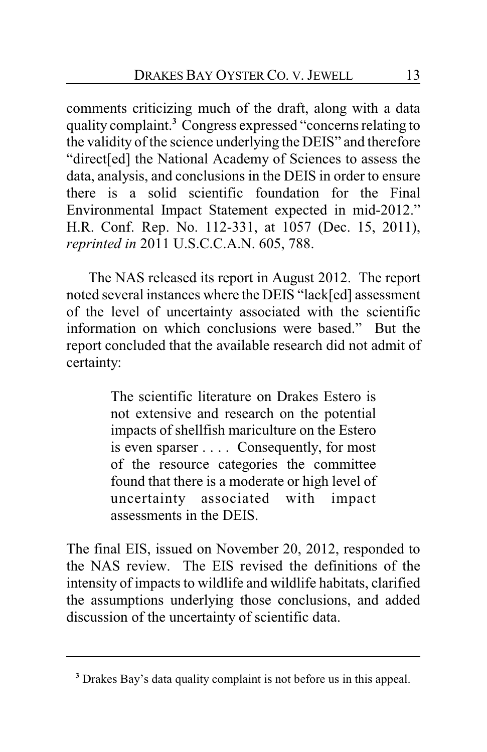comments criticizing much of the draft, along with a data quality complaint.**<sup>3</sup>** Congress expressed "concerns relating to the validity of the science underlying the DEIS" and therefore "direct[ed] the National Academy of Sciences to assess the data, analysis, and conclusions in the DEIS in order to ensure there is a solid scientific foundation for the Final Environmental Impact Statement expected in mid-2012." H.R. Conf. Rep. No. 112-331, at 1057 (Dec. 15, 2011), *reprinted in* 2011 U.S.C.C.A.N. 605, 788.

The NAS released its report in August 2012. The report noted several instances where the DEIS "lack[ed] assessment of the level of uncertainty associated with the scientific information on which conclusions were based." But the report concluded that the available research did not admit of certainty:

> The scientific literature on Drakes Estero is not extensive and research on the potential impacts of shellfish mariculture on the Estero is even sparser . . . . Consequently, for most of the resource categories the committee found that there is a moderate or high level of uncertainty associated with impact assessments in the DEIS.

The final EIS, issued on November 20, 2012, responded to the NAS review. The EIS revised the definitions of the intensity of impacts to wildlife and wildlife habitats, clarified the assumptions underlying those conclusions, and added discussion of the uncertainty of scientific data.

**<sup>3</sup>** Drakes Bay's data quality complaint is not before us in this appeal.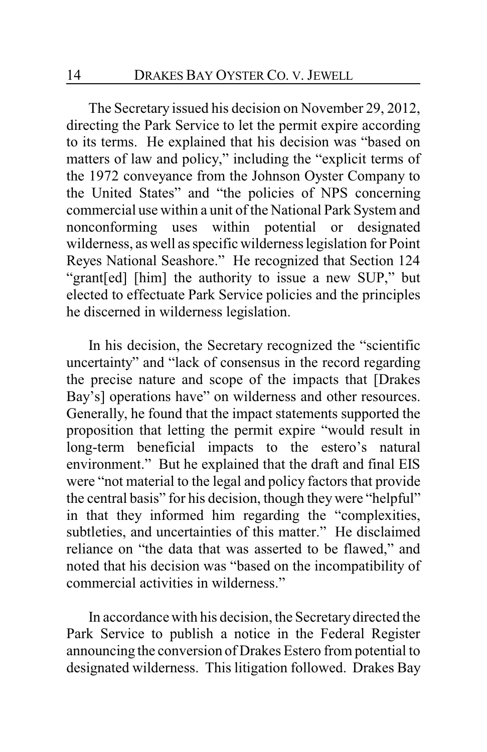The Secretary issued his decision on November 29, 2012, directing the Park Service to let the permit expire according to its terms. He explained that his decision was "based on matters of law and policy," including the "explicit terms of the 1972 conveyance from the Johnson Oyster Company to the United States" and "the policies of NPS concerning commercial use within a unit of the National Park System and nonconforming uses within potential or designated wilderness, as well as specific wilderness legislation for Point Reyes National Seashore." He recognized that Section 124 "grant[ed] [him] the authority to issue a new SUP," but elected to effectuate Park Service policies and the principles he discerned in wilderness legislation.

In his decision, the Secretary recognized the "scientific uncertainty" and "lack of consensus in the record regarding the precise nature and scope of the impacts that [Drakes Bay's] operations have" on wilderness and other resources. Generally, he found that the impact statements supported the proposition that letting the permit expire "would result in long-term beneficial impacts to the estero's natural environment." But he explained that the draft and final EIS were "not material to the legal and policy factors that provide the central basis" for his decision, though they were "helpful" in that they informed him regarding the "complexities, subtleties, and uncertainties of this matter." He disclaimed reliance on "the data that was asserted to be flawed," and noted that his decision was "based on the incompatibility of commercial activities in wilderness."

In accordance with his decision, the Secretarydirected the Park Service to publish a notice in the Federal Register announcing the conversion of Drakes Estero from potential to designated wilderness. This litigation followed. Drakes Bay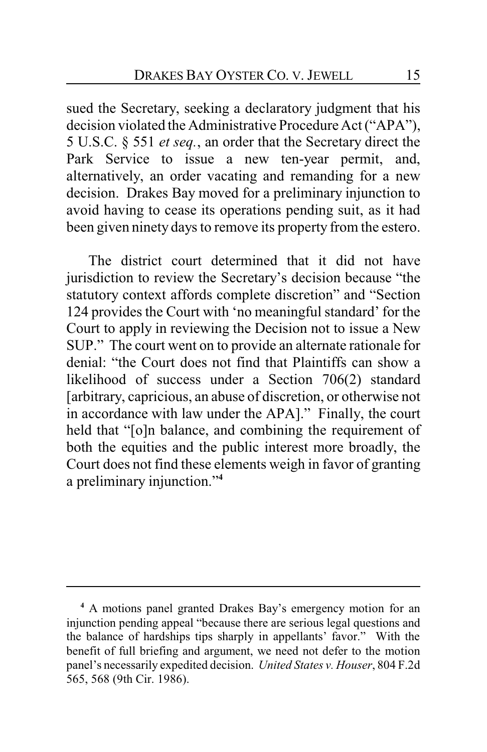sued the Secretary, seeking a declaratory judgment that his decision violated the Administrative Procedure Act ("APA"), 5 U.S.C. § 551 *et seq.*, an order that the Secretary direct the Park Service to issue a new ten-year permit, and, alternatively, an order vacating and remanding for a new decision. Drakes Bay moved for a preliminary injunction to avoid having to cease its operations pending suit, as it had been given ninety days to remove its property from the estero.

The district court determined that it did not have jurisdiction to review the Secretary's decision because "the statutory context affords complete discretion" and "Section 124 provides the Court with 'no meaningful standard' for the Court to apply in reviewing the Decision not to issue a New SUP." The court went on to provide an alternate rationale for denial: "the Court does not find that Plaintiffs can show a likelihood of success under a Section 706(2) standard [arbitrary, capricious, an abuse of discretion, or otherwise not in accordance with law under the APA]." Finally, the court held that "[o]n balance, and combining the requirement of both the equities and the public interest more broadly, the Court does not find these elements weigh in favor of granting a preliminary injunction."**<sup>4</sup>**

**<sup>4</sup>** A motions panel granted Drakes Bay's emergency motion for an injunction pending appeal "because there are serious legal questions and the balance of hardships tips sharply in appellants' favor." With the benefit of full briefing and argument, we need not defer to the motion panel's necessarily expedited decision. *United States v. Houser*, 804 F.2d 565, 568 (9th Cir. 1986).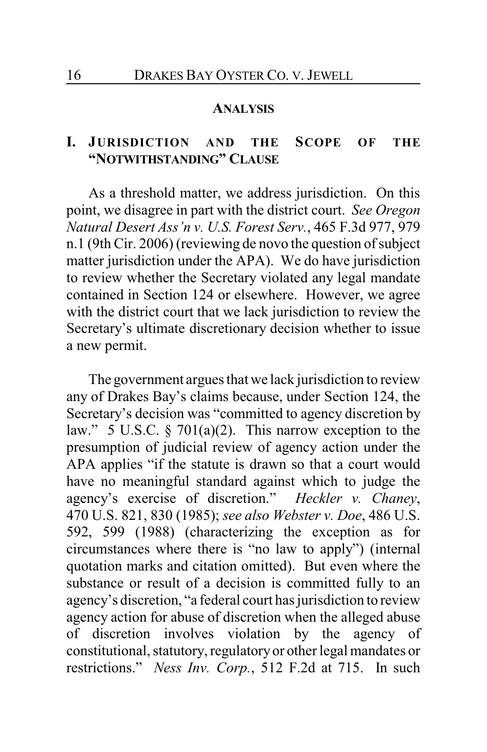#### **ANALYSIS**

# **I. JURISDICTION AND THE SCOPE OF THE "NOTWITHSTANDING" CLAUSE**

As a threshold matter, we address jurisdiction. On this point, we disagree in part with the district court. *See Oregon Natural Desert Ass'n v. U.S. Forest Serv.*, 465 F.3d 977, 979 n.1 (9th Cir. 2006) (reviewing de novo the question of subject matter jurisdiction under the APA). We do have jurisdiction to review whether the Secretary violated any legal mandate contained in Section 124 or elsewhere. However, we agree with the district court that we lack jurisdiction to review the Secretary's ultimate discretionary decision whether to issue a new permit.

The government argues that we lack jurisdiction to review any of Drakes Bay's claims because, under Section 124, the Secretary's decision was "committed to agency discretion by law." 5 U.S.C.  $\S$  701(a)(2). This narrow exception to the presumption of judicial review of agency action under the APA applies "if the statute is drawn so that a court would have no meaningful standard against which to judge the agency's exercise of discretion." *Heckler v. Chaney*, 470 U.S. 821, 830 (1985); *see also Webster v. Doe*, 486 U.S. 592, 599 (1988) (characterizing the exception as for circumstances where there is "no law to apply") (internal quotation marks and citation omitted). But even where the substance or result of a decision is committed fully to an agency's discretion, "a federal court has jurisdiction to review agency action for abuse of discretion when the alleged abuse of discretion involves violation by the agency of constitutional, statutory, regulatory or other legal mandates or restrictions." *Ness Inv. Corp.*, 512 F.2d at 715. In such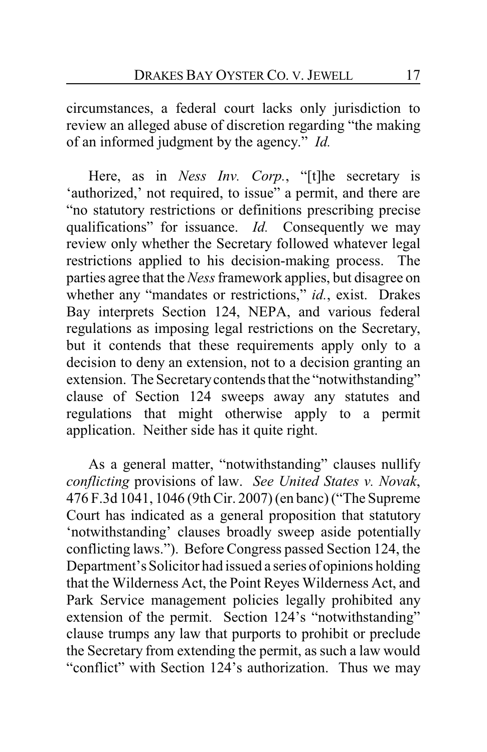circumstances, a federal court lacks only jurisdiction to review an alleged abuse of discretion regarding "the making of an informed judgment by the agency." *Id.*

Here, as in *Ness Inv. Corp.*, "[t]he secretary is 'authorized,' not required, to issue" a permit, and there are "no statutory restrictions or definitions prescribing precise qualifications" for issuance. *Id.* Consequently we may review only whether the Secretary followed whatever legal restrictions applied to his decision-making process. The parties agree that the *Ness*framework applies, but disagree on whether any "mandates or restrictions," *id.*, exist. Drakes Bay interprets Section 124, NEPA, and various federal regulations as imposing legal restrictions on the Secretary, but it contends that these requirements apply only to a decision to deny an extension, not to a decision granting an extension. The Secretarycontends that the "notwithstanding" clause of Section 124 sweeps away any statutes and regulations that might otherwise apply to a permit application. Neither side has it quite right.

As a general matter, "notwithstanding" clauses nullify *conflicting* provisions of law. *See United States v. Novak*, 476 F.3d 1041, 1046 (9th Cir. 2007) (en banc) ("The Supreme Court has indicated as a general proposition that statutory 'notwithstanding' clauses broadly sweep aside potentially conflicting laws."). Before Congress passed Section 124, the Department's Solicitor had issued a series of opinions holding that the Wilderness Act, the Point Reyes Wilderness Act, and Park Service management policies legally prohibited any extension of the permit. Section 124's "notwithstanding" clause trumps any law that purports to prohibit or preclude the Secretary from extending the permit, as such a law would "conflict" with Section 124's authorization. Thus we may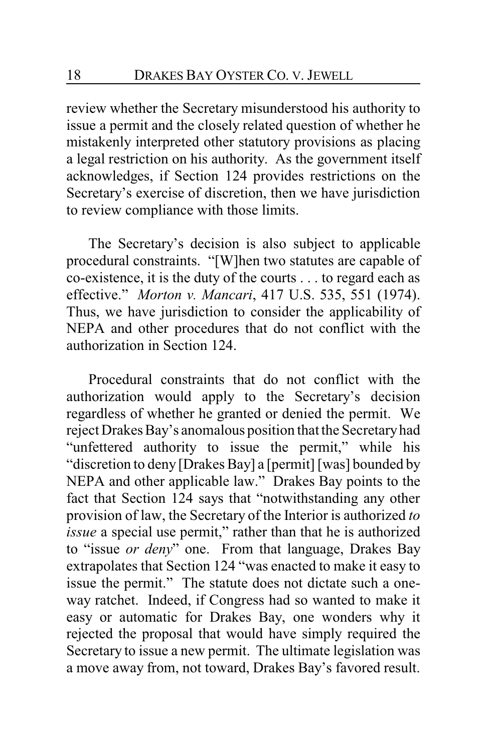review whether the Secretary misunderstood his authority to issue a permit and the closely related question of whether he mistakenly interpreted other statutory provisions as placing a legal restriction on his authority. As the government itself acknowledges, if Section 124 provides restrictions on the Secretary's exercise of discretion, then we have jurisdiction to review compliance with those limits.

The Secretary's decision is also subject to applicable procedural constraints. "[W]hen two statutes are capable of co-existence, it is the duty of the courts . . . to regard each as effective." *Morton v. Mancari*, 417 U.S. 535, 551 (1974). Thus, we have jurisdiction to consider the applicability of NEPA and other procedures that do not conflict with the authorization in Section 124.

Procedural constraints that do not conflict with the authorization would apply to the Secretary's decision regardless of whether he granted or denied the permit. We reject Drakes Bay's anomalous position that the Secretaryhad "unfettered authority to issue the permit," while his "discretion to deny [Drakes Bay] a [permit] [was] bounded by NEPA and other applicable law." Drakes Bay points to the fact that Section 124 says that "notwithstanding any other provision of law, the Secretary of the Interior is authorized *to issue* a special use permit," rather than that he is authorized to "issue *or deny*" one. From that language, Drakes Bay extrapolates that Section 124 "was enacted to make it easy to issue the permit." The statute does not dictate such a oneway ratchet. Indeed, if Congress had so wanted to make it easy or automatic for Drakes Bay, one wonders why it rejected the proposal that would have simply required the Secretary to issue a new permit. The ultimate legislation was a move away from, not toward, Drakes Bay's favored result.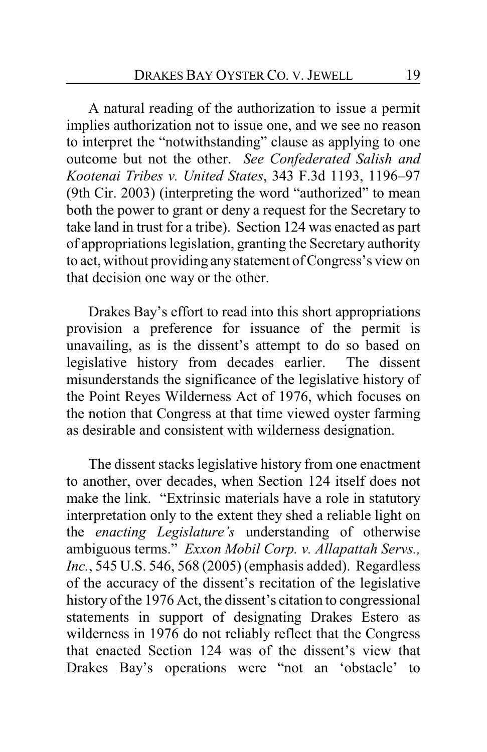A natural reading of the authorization to issue a permit implies authorization not to issue one, and we see no reason to interpret the "notwithstanding" clause as applying to one outcome but not the other. *See Confederated Salish and Kootenai Tribes v. United States*, 343 F.3d 1193, 1196–97 (9th Cir. 2003) (interpreting the word "authorized" to mean both the power to grant or deny a request for the Secretary to take land in trust for a tribe). Section 124 was enacted as part of appropriations legislation, granting the Secretary authority to act, without providing any statement of Congress's view on that decision one way or the other.

Drakes Bay's effort to read into this short appropriations provision a preference for issuance of the permit is unavailing, as is the dissent's attempt to do so based on legislative history from decades earlier. The dissent misunderstands the significance of the legislative history of the Point Reyes Wilderness Act of 1976, which focuses on the notion that Congress at that time viewed oyster farming as desirable and consistent with wilderness designation.

The dissent stacks legislative history from one enactment to another, over decades, when Section 124 itself does not make the link. "Extrinsic materials have a role in statutory interpretation only to the extent they shed a reliable light on the *enacting Legislature's* understanding of otherwise ambiguous terms." *Exxon Mobil Corp. v. Allapattah Servs., Inc.*, 545 U.S. 546, 568 (2005) (emphasis added). Regardless of the accuracy of the dissent's recitation of the legislative history of the 1976 Act, the dissent's citation to congressional statements in support of designating Drakes Estero as wilderness in 1976 do not reliably reflect that the Congress that enacted Section 124 was of the dissent's view that Drakes Bay's operations were "not an 'obstacle' to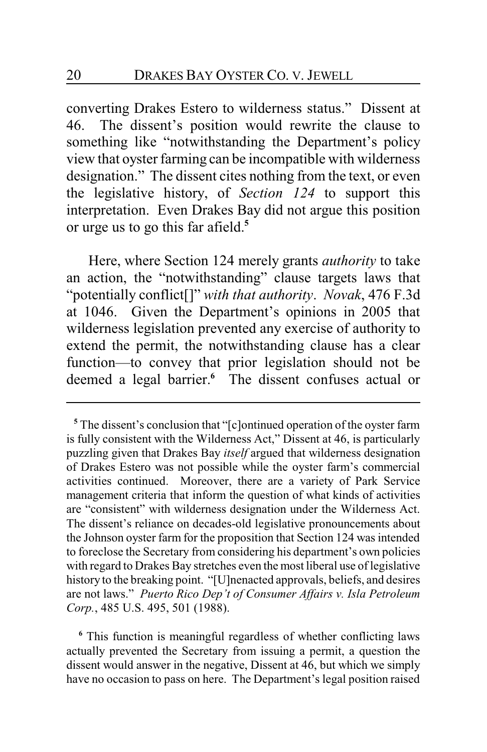converting Drakes Estero to wilderness status." Dissent at 46. The dissent's position would rewrite the clause to something like "notwithstanding the Department's policy view that oyster farming can be incompatible with wilderness designation." The dissent cites nothing from the text, or even the legislative history, of *Section 124* to support this interpretation. Even Drakes Bay did not argue this position or urge us to go this far afield.**<sup>5</sup>**

Here, where Section 124 merely grants *authority* to take an action, the "notwithstanding" clause targets laws that "potentially conflict[]" *with that authority*. *Novak*, 476 F.3d at 1046. Given the Department's opinions in 2005 that wilderness legislation prevented any exercise of authority to extend the permit, the notwithstanding clause has a clear function—to convey that prior legislation should not be deemed a legal barrier.**<sup>6</sup>** The dissent confuses actual or

**<sup>6</sup>** This function is meaningful regardless of whether conflicting laws actually prevented the Secretary from issuing a permit, a question the dissent would answer in the negative, Dissent at 46, but which we simply have no occasion to pass on here. The Department's legal position raised

**<sup>5</sup>** The dissent's conclusion that "[c]ontinued operation of the oyster farm is fully consistent with the Wilderness Act," Dissent at 46, is particularly puzzling given that Drakes Bay *itself* argued that wilderness designation of Drakes Estero was not possible while the oyster farm's commercial activities continued. Moreover, there are a variety of Park Service management criteria that inform the question of what kinds of activities are "consistent" with wilderness designation under the Wilderness Act. The dissent's reliance on decades-old legislative pronouncements about the Johnson oyster farm for the proposition that Section 124 was intended to foreclose the Secretary from considering his department's own policies with regard to Drakes Bay stretches even the most liberal use of legislative history to the breaking point. "[U]nenacted approvals, beliefs, and desires are not laws." *Puerto Rico Dep't of Consumer Affairs v. Isla Petroleum Corp.*, 485 U.S. 495, 501 (1988).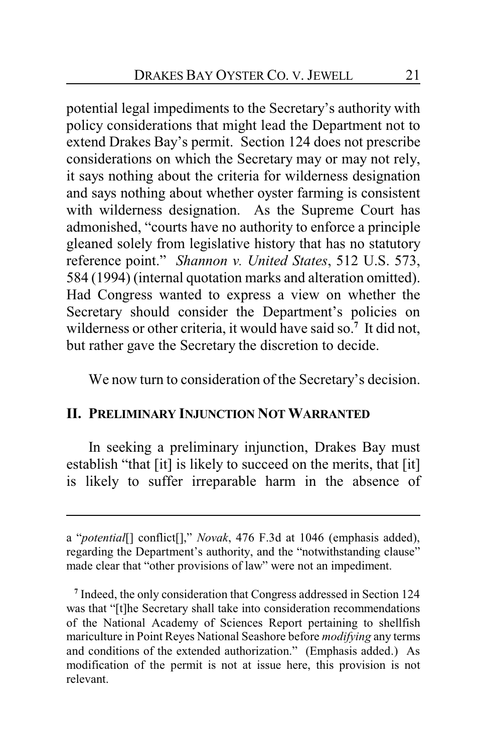potential legal impediments to the Secretary's authority with policy considerations that might lead the Department not to extend Drakes Bay's permit. Section 124 does not prescribe considerations on which the Secretary may or may not rely, it says nothing about the criteria for wilderness designation and says nothing about whether oyster farming is consistent with wilderness designation. As the Supreme Court has admonished, "courts have no authority to enforce a principle gleaned solely from legislative history that has no statutory reference point." *Shannon v. United States*, 512 U.S. 573, 584 (1994) (internal quotation marks and alteration omitted). Had Congress wanted to express a view on whether the Secretary should consider the Department's policies on wilderness or other criteria, it would have said so.**<sup>7</sup>** It did not, but rather gave the Secretary the discretion to decide.

We now turn to consideration of the Secretary's decision.

### **II. PRELIMINARY INJUNCTION NOT WARRANTED**

In seeking a preliminary injunction, Drakes Bay must establish "that [it] is likely to succeed on the merits, that [it] is likely to suffer irreparable harm in the absence of

a "*potential*[] conflict[]," *Novak*, 476 F.3d at 1046 (emphasis added), regarding the Department's authority, and the "notwithstanding clause" made clear that "other provisions of law" were not an impediment.

**<sup>7</sup>** Indeed, the only consideration that Congress addressed in Section 124 was that "[t]he Secretary shall take into consideration recommendations of the National Academy of Sciences Report pertaining to shellfish mariculture in Point Reyes National Seashore before *modifying* any terms and conditions of the extended authorization." (Emphasis added.) As modification of the permit is not at issue here, this provision is not relevant.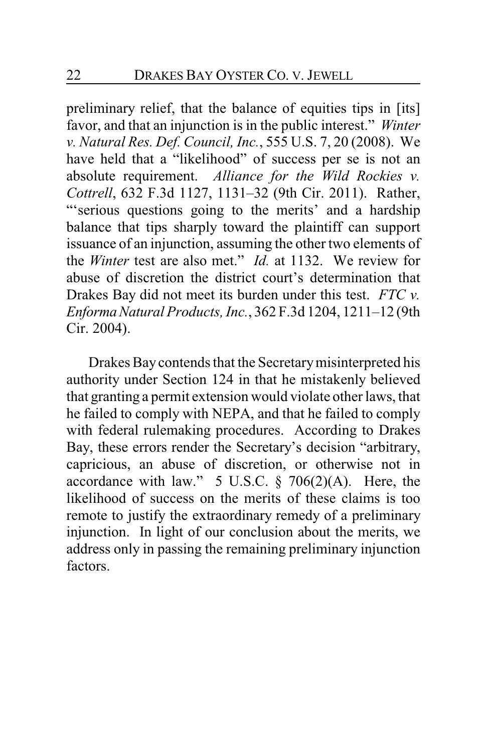preliminary relief, that the balance of equities tips in [its] favor, and that an injunction is in the public interest." *Winter v. Natural Res. Def. Council, Inc.*, 555 U.S. 7, 20 (2008). We have held that a "likelihood" of success per se is not an absolute requirement. *Alliance for the Wild Rockies v. Cottrell*, 632 F.3d 1127, 1131–32 (9th Cir. 2011). Rather, "'serious questions going to the merits' and a hardship balance that tips sharply toward the plaintiff can support issuance of an injunction, assuming the other two elements of the *Winter* test are also met." *Id.* at 1132. We review for abuse of discretion the district court's determination that Drakes Bay did not meet its burden under this test. *FTC v. EnformaNatural Products, Inc.*, 362 F.3d 1204, 1211–12 (9th Cir. 2004).

Drakes Bay contends that the Secretarymisinterpreted his authority under Section 124 in that he mistakenly believed that granting a permit extension would violate other laws, that he failed to comply with NEPA, and that he failed to comply with federal rulemaking procedures. According to Drakes Bay, these errors render the Secretary's decision "arbitrary, capricious, an abuse of discretion, or otherwise not in accordance with law."  $5 \text{ U.S.C. } § \text{ 706(2)(A).}$  Here, the likelihood of success on the merits of these claims is too remote to justify the extraordinary remedy of a preliminary injunction. In light of our conclusion about the merits, we address only in passing the remaining preliminary injunction factors.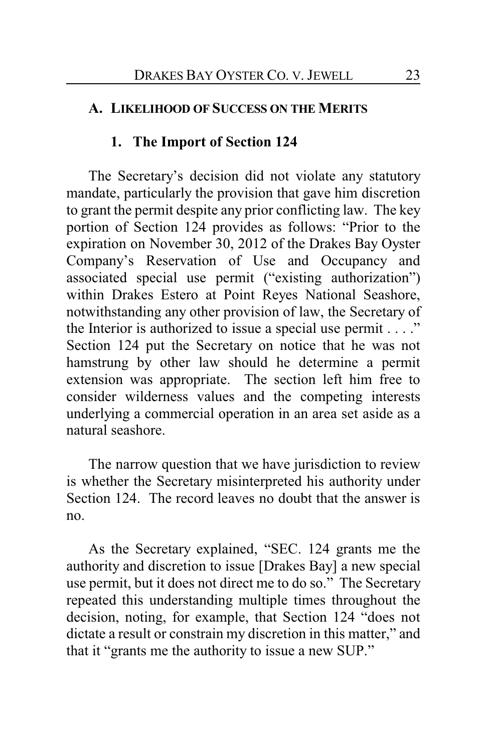# **A. LIKELIHOOD OF SUCCESS ON THE MERITS**

# **1. The Import of Section 124**

The Secretary's decision did not violate any statutory mandate, particularly the provision that gave him discretion to grant the permit despite any prior conflicting law. The key portion of Section 124 provides as follows: "Prior to the expiration on November 30, 2012 of the Drakes Bay Oyster Company's Reservation of Use and Occupancy and associated special use permit ("existing authorization") within Drakes Estero at Point Reyes National Seashore, notwithstanding any other provision of law, the Secretary of the Interior is authorized to issue a special use permit  $\dots$ ." Section 124 put the Secretary on notice that he was not hamstrung by other law should he determine a permit extension was appropriate. The section left him free to consider wilderness values and the competing interests underlying a commercial operation in an area set aside as a natural seashore.

The narrow question that we have jurisdiction to review is whether the Secretary misinterpreted his authority under Section 124. The record leaves no doubt that the answer is no.

As the Secretary explained, "SEC. 124 grants me the authority and discretion to issue [Drakes Bay] a new special use permit, but it does not direct me to do so." The Secretary repeated this understanding multiple times throughout the decision, noting, for example, that Section 124 "does not dictate a result or constrain my discretion in this matter," and that it "grants me the authority to issue a new SUP."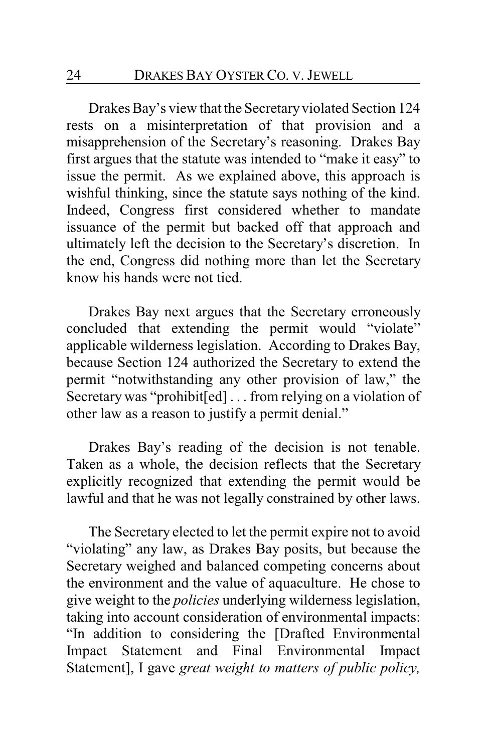Drakes Bay's view that the Secretary violated Section 124 rests on a misinterpretation of that provision and a misapprehension of the Secretary's reasoning. Drakes Bay first argues that the statute was intended to "make it easy" to issue the permit. As we explained above, this approach is wishful thinking, since the statute says nothing of the kind. Indeed, Congress first considered whether to mandate issuance of the permit but backed off that approach and ultimately left the decision to the Secretary's discretion. In the end, Congress did nothing more than let the Secretary know his hands were not tied.

Drakes Bay next argues that the Secretary erroneously concluded that extending the permit would "violate" applicable wilderness legislation. According to Drakes Bay, because Section 124 authorized the Secretary to extend the permit "notwithstanding any other provision of law," the Secretary was "prohibit[ed] ... from relying on a violation of other law as a reason to justify a permit denial."

Drakes Bay's reading of the decision is not tenable. Taken as a whole, the decision reflects that the Secretary explicitly recognized that extending the permit would be lawful and that he was not legally constrained by other laws.

The Secretary elected to let the permit expire not to avoid "violating" any law, as Drakes Bay posits, but because the Secretary weighed and balanced competing concerns about the environment and the value of aquaculture. He chose to give weight to the *policies* underlying wilderness legislation, taking into account consideration of environmental impacts: "In addition to considering the [Drafted Environmental Impact Statement and Final Environmental Impact Statement], I gave *great weight to matters of public policy,*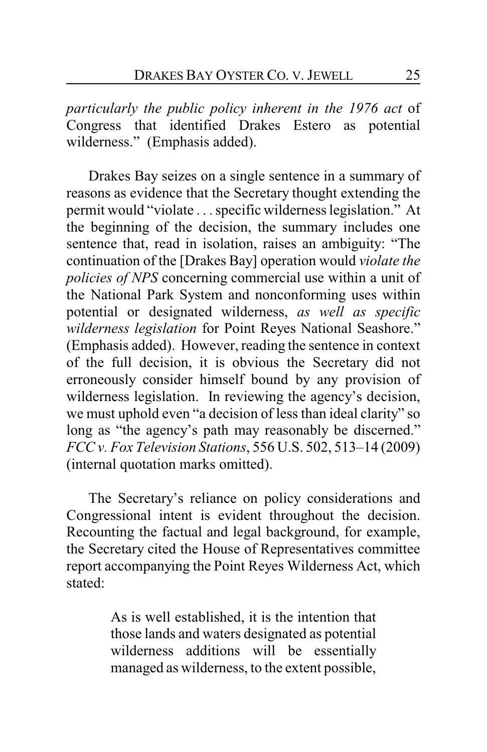*particularly the public policy inherent in the 1976 act* of Congress that identified Drakes Estero as potential wilderness." (Emphasis added).

Drakes Bay seizes on a single sentence in a summary of reasons as evidence that the Secretary thought extending the permit would "violate . . . specific wilderness legislation." At the beginning of the decision, the summary includes one sentence that, read in isolation, raises an ambiguity: "The continuation of the [Drakes Bay] operation would *violate the policies of NPS* concerning commercial use within a unit of the National Park System and nonconforming uses within potential or designated wilderness, *as well as specific wilderness legislation* for Point Reyes National Seashore." (Emphasis added). However, reading the sentence in context of the full decision, it is obvious the Secretary did not erroneously consider himself bound by any provision of wilderness legislation. In reviewing the agency's decision, we must uphold even "a decision of less than ideal clarity" so long as "the agency's path may reasonably be discerned." *FCC v. Fox Television Stations*, 556 U.S. 502, 513–14 (2009) (internal quotation marks omitted).

The Secretary's reliance on policy considerations and Congressional intent is evident throughout the decision. Recounting the factual and legal background, for example, the Secretary cited the House of Representatives committee report accompanying the Point Reyes Wilderness Act, which stated:

> As is well established, it is the intention that those lands and waters designated as potential wilderness additions will be essentially managed as wilderness, to the extent possible,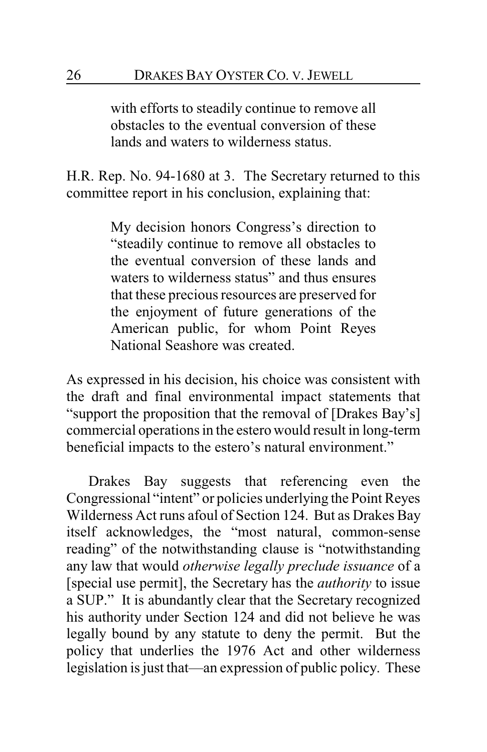with efforts to steadily continue to remove all obstacles to the eventual conversion of these lands and waters to wilderness status.

H.R. Rep. No. 94-1680 at 3. The Secretary returned to this committee report in his conclusion, explaining that:

> My decision honors Congress's direction to "steadily continue to remove all obstacles to the eventual conversion of these lands and waters to wilderness status" and thus ensures that these precious resources are preserved for the enjoyment of future generations of the American public, for whom Point Reyes National Seashore was created.

As expressed in his decision, his choice was consistent with the draft and final environmental impact statements that "support the proposition that the removal of [Drakes Bay's] commercial operations in the estero would result in long-term beneficial impacts to the estero's natural environment."

Drakes Bay suggests that referencing even the Congressional "intent" or policies underlying the Point Reyes Wilderness Act runs afoul of Section 124. But as Drakes Bay itself acknowledges, the "most natural, common-sense reading" of the notwithstanding clause is "notwithstanding any law that would *otherwise legally preclude issuance* of a [special use permit], the Secretary has the *authority* to issue a SUP." It is abundantly clear that the Secretary recognized his authority under Section 124 and did not believe he was legally bound by any statute to deny the permit. But the policy that underlies the 1976 Act and other wilderness legislation is just that—an expression of public policy. These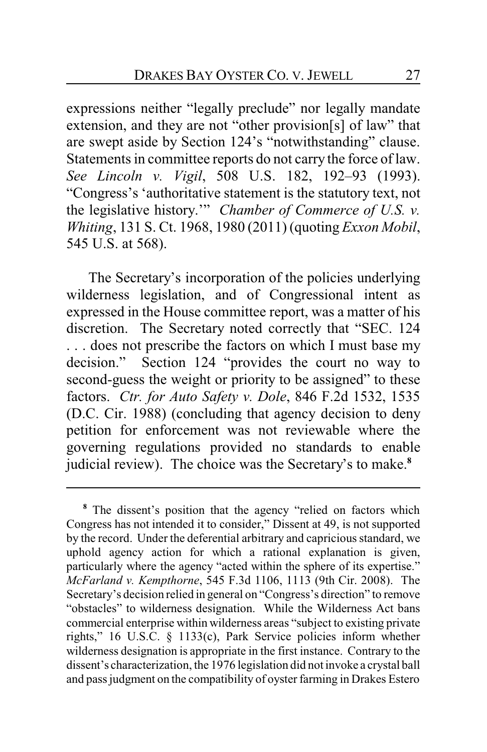expressions neither "legally preclude" nor legally mandate extension, and they are not "other provision[s] of law" that are swept aside by Section 124's "notwithstanding" clause. Statements in committee reports do not carry the force of law. *See Lincoln v. Vigil*, 508 U.S. 182, 192–93 (1993). "Congress's 'authoritative statement is the statutory text, not the legislative history.'" *Chamber of Commerce of U.S. v. Whiting*, 131 S. Ct. 1968, 1980 (2011) (quoting *Exxon Mobil*, 545 U.S. at 568).

The Secretary's incorporation of the policies underlying wilderness legislation, and of Congressional intent as expressed in the House committee report, was a matter of his discretion. The Secretary noted correctly that "SEC. 124 . . . does not prescribe the factors on which I must base my decision." Section 124 "provides the court no way to second-guess the weight or priority to be assigned" to these factors. *Ctr. for Auto Safety v. Dole*, 846 F.2d 1532, 1535 (D.C. Cir. 1988) (concluding that agency decision to deny petition for enforcement was not reviewable where the governing regulations provided no standards to enable judicial review). The choice was the Secretary's to make.**<sup>8</sup>**

**<sup>8</sup>** The dissent's position that the agency "relied on factors which Congress has not intended it to consider," Dissent at 49, is not supported by the record. Under the deferential arbitrary and capricious standard, we uphold agency action for which a rational explanation is given, particularly where the agency "acted within the sphere of its expertise." *McFarland v. Kempthorne*, 545 F.3d 1106, 1113 (9th Cir. 2008). The Secretary's decision relied in general on "Congress's direction" to remove "obstacles" to wilderness designation. While the Wilderness Act bans commercial enterprise within wilderness areas "subject to existing private rights," 16 U.S.C. § 1133(c), Park Service policies inform whether wilderness designation is appropriate in the first instance. Contrary to the dissent's characterization, the 1976 legislation did not invoke a crystal ball and pass judgment on the compatibility of oyster farming in Drakes Estero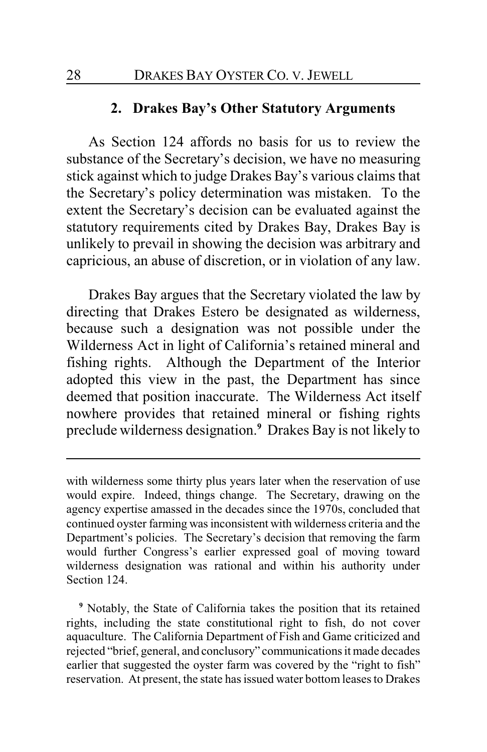### **2. Drakes Bay's Other Statutory Arguments**

As Section 124 affords no basis for us to review the substance of the Secretary's decision, we have no measuring stick against which to judge Drakes Bay's various claims that the Secretary's policy determination was mistaken. To the extent the Secretary's decision can be evaluated against the statutory requirements cited by Drakes Bay, Drakes Bay is unlikely to prevail in showing the decision was arbitrary and capricious, an abuse of discretion, or in violation of any law.

Drakes Bay argues that the Secretary violated the law by directing that Drakes Estero be designated as wilderness, because such a designation was not possible under the Wilderness Act in light of California's retained mineral and fishing rights. Although the Department of the Interior adopted this view in the past, the Department has since deemed that position inaccurate. The Wilderness Act itself nowhere provides that retained mineral or fishing rights preclude wilderness designation.**<sup>9</sup>** Drakes Bay is not likely to

**<sup>9</sup>** Notably, the State of California takes the position that its retained rights, including the state constitutional right to fish, do not cover aquaculture. The California Department of Fish and Game criticized and rejected "brief, general, and conclusory" communications it made decades earlier that suggested the oyster farm was covered by the "right to fish" reservation. At present, the state has issued water bottom leases to Drakes

with wilderness some thirty plus years later when the reservation of use would expire. Indeed, things change. The Secretary, drawing on the agency expertise amassed in the decades since the 1970s, concluded that continued oyster farming was inconsistent with wilderness criteria and the Department's policies. The Secretary's decision that removing the farm would further Congress's earlier expressed goal of moving toward wilderness designation was rational and within his authority under Section 124.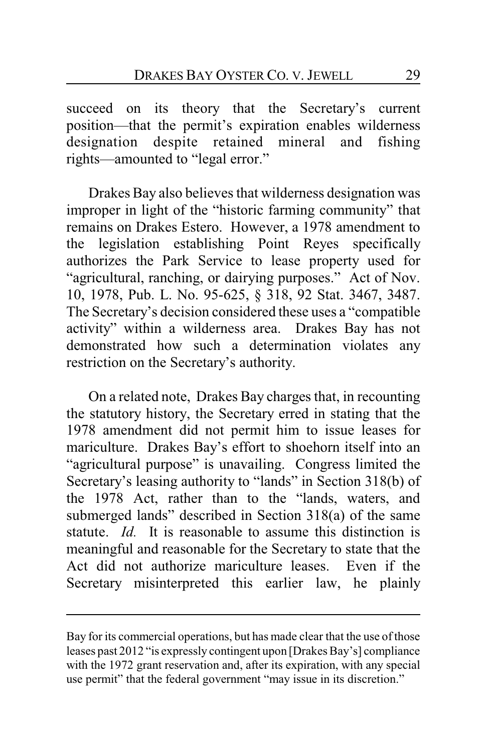succeed on its theory that the Secretary's current position—that the permit's expiration enables wilderness designation despite retained mineral and fishing rights—amounted to "legal error."

Drakes Bay also believes that wilderness designation was improper in light of the "historic farming community" that remains on Drakes Estero. However, a 1978 amendment to the legislation establishing Point Reyes specifically authorizes the Park Service to lease property used for "agricultural, ranching, or dairying purposes." Act of Nov. 10, 1978, Pub. L. No. 95-625, § 318, 92 Stat. 3467, 3487. The Secretary's decision considered these uses a "compatible activity" within a wilderness area. Drakes Bay has not demonstrated how such a determination violates any restriction on the Secretary's authority.

On a related note, Drakes Bay charges that, in recounting the statutory history, the Secretary erred in stating that the 1978 amendment did not permit him to issue leases for mariculture. Drakes Bay's effort to shoehorn itself into an "agricultural purpose" is unavailing. Congress limited the Secretary's leasing authority to "lands" in Section 318(b) of the 1978 Act, rather than to the "lands, waters, and submerged lands" described in Section 318(a) of the same statute. *Id.* It is reasonable to assume this distinction is meaningful and reasonable for the Secretary to state that the Act did not authorize mariculture leases. Even if the Secretary misinterpreted this earlier law, he plainly

Bay for its commercial operations, but has made clear that the use of those leases past 2012 "is expressly contingent upon [Drakes Bay's] compliance with the 1972 grant reservation and, after its expiration, with any special use permit" that the federal government "may issue in its discretion."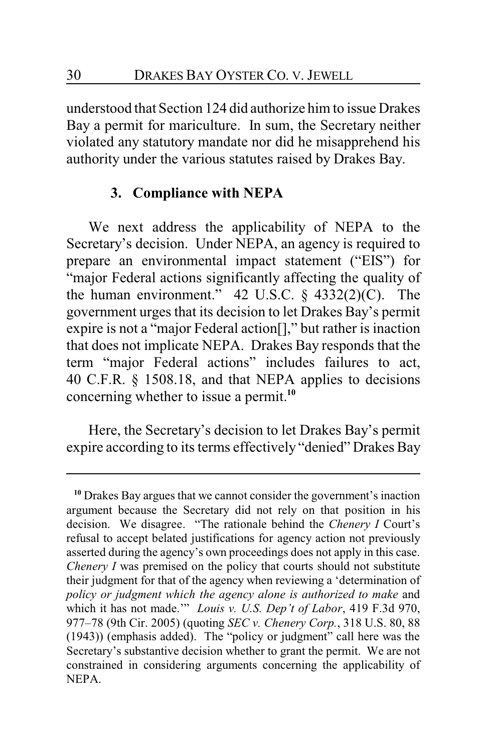understood that Section 124 did authorize him to issue Drakes Bay a permit for mariculture. In sum, the Secretary neither violated any statutory mandate nor did he misapprehend his authority under the various statutes raised by Drakes Bay.

# **3. Compliance with NEPA**

We next address the applicability of NEPA to the Secretary's decision. Under NEPA, an agency is required to prepare an environmental impact statement ("EIS") for "major Federal actions significantly affecting the quality of the human environment."  $42$  U.S.C.  $\S$   $4332(2)(C)$ . The government urges that its decision to let Drakes Bay's permit expire is not a "major Federal action[]," but rather is inaction that does not implicate NEPA. Drakes Bay responds that the term "major Federal actions" includes failures to act, 40 C.F.R. § 1508.18, and that NEPA applies to decisions concerning whether to issue a permit.**<sup>10</sup>**

Here, the Secretary's decision to let Drakes Bay's permit expire according to its terms effectively "denied" Drakes Bay

**<sup>10</sup>** Drakes Bay argues that we cannot consider the government's inaction argument because the Secretary did not rely on that position in his decision. We disagree. "The rationale behind the *Chenery I* Court's refusal to accept belated justifications for agency action not previously asserted during the agency's own proceedings does not apply in this case. *Chenery I* was premised on the policy that courts should not substitute their judgment for that of the agency when reviewing a 'determination of *policy or judgment which the agency alone is authorized to make* and which it has not made.'" *Louis v. U.S. Dep't of Labor*, 419 F.3d 970, 977–78 (9th Cir. 2005) (quoting *SEC v. Chenery Corp.*, 318 U.S. 80, 88 (1943)) (emphasis added). The "policy or judgment" call here was the Secretary's substantive decision whether to grant the permit. We are not constrained in considering arguments concerning the applicability of NEPA.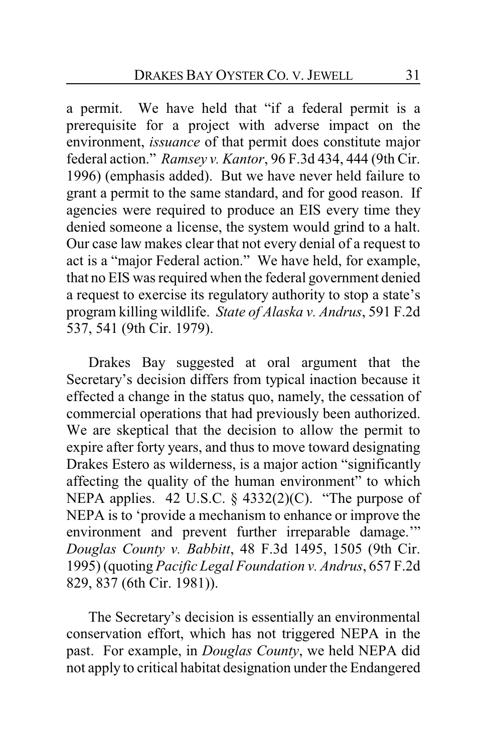a permit. We have held that "if a federal permit is a prerequisite for a project with adverse impact on the environment, *issuance* of that permit does constitute major federal action." *Ramsey v. Kantor*, 96 F.3d 434, 444 (9th Cir. 1996) (emphasis added). But we have never held failure to grant a permit to the same standard, and for good reason. If agencies were required to produce an EIS every time they denied someone a license, the system would grind to a halt. Our case law makes clear that not every denial of a request to act is a "major Federal action." We have held, for example, that no EIS was required when the federal government denied a request to exercise its regulatory authority to stop a state's program killing wildlife. *State of Alaska v. Andrus*, 591 F.2d 537, 541 (9th Cir. 1979).

Drakes Bay suggested at oral argument that the Secretary's decision differs from typical inaction because it effected a change in the status quo, namely, the cessation of commercial operations that had previously been authorized. We are skeptical that the decision to allow the permit to expire after forty years, and thus to move toward designating Drakes Estero as wilderness, is a major action "significantly affecting the quality of the human environment" to which NEPA applies. 42 U.S.C.  $\S$  4332(2)(C). "The purpose of NEPA is to 'provide a mechanism to enhance or improve the environment and prevent further irreparable damage.'" *Douglas County v. Babbitt*, 48 F.3d 1495, 1505 (9th Cir. 1995) (quoting *Pacific Legal Foundation v. Andrus*, 657 F.2d 829, 837 (6th Cir. 1981)).

The Secretary's decision is essentially an environmental conservation effort, which has not triggered NEPA in the past. For example, in *Douglas County*, we held NEPA did not apply to critical habitat designation under the Endangered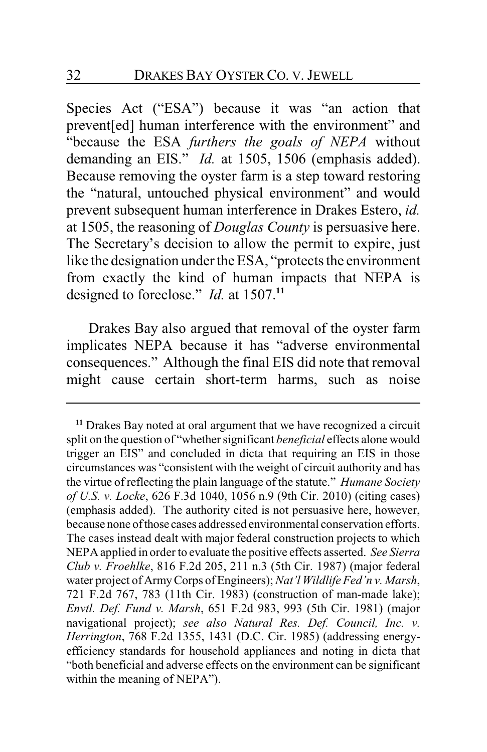Species Act ("ESA") because it was "an action that prevent[ed] human interference with the environment" and "because the ESA *furthers the goals of NEPA* without demanding an EIS." *Id.* at 1505, 1506 (emphasis added). Because removing the oyster farm is a step toward restoring the "natural, untouched physical environment" and would prevent subsequent human interference in Drakes Estero, *id.* at 1505, the reasoning of *Douglas County* is persuasive here. The Secretary's decision to allow the permit to expire, just like the designation under the ESA, "protects the environment from exactly the kind of human impacts that NEPA is designed to foreclose." *Id.* at 1507.**<sup>11</sup>**

Drakes Bay also argued that removal of the oyster farm implicates NEPA because it has "adverse environmental consequences." Although the final EIS did note that removal might cause certain short-term harms, such as noise

**<sup>11</sup>** Drakes Bay noted at oral argument that we have recognized a circuit split on the question of "whether significant *beneficial* effects alone would trigger an EIS" and concluded in dicta that requiring an EIS in those circumstances was "consistent with the weight of circuit authority and has the virtue of reflecting the plain language of the statute." *Humane Society of U.S. v. Locke*, 626 F.3d 1040, 1056 n.9 (9th Cir. 2010) (citing cases) (emphasis added). The authority cited is not persuasive here, however, because none ofthose cases addressed environmental conservation efforts. The cases instead dealt with major federal construction projects to which NEPAapplied in order to evaluate the positive effects asserted. *See Sierra Club v. Froehlke*, 816 F.2d 205, 211 n.3 (5th Cir. 1987) (major federal water project of ArmyCorps ofEngineers); *Nat'l Wildlife Fed'n v. Marsh*, 721 F.2d 767, 783 (11th Cir. 1983) (construction of man-made lake); *Envtl. Def. Fund v. Marsh*, 651 F.2d 983, 993 (5th Cir. 1981) (major navigational project); *see also Natural Res. Def. Council, Inc. v. Herrington*, 768 F.2d 1355, 1431 (D.C. Cir. 1985) (addressing energyefficiency standards for household appliances and noting in dicta that "both beneficial and adverse effects on the environment can be significant within the meaning of NEPA").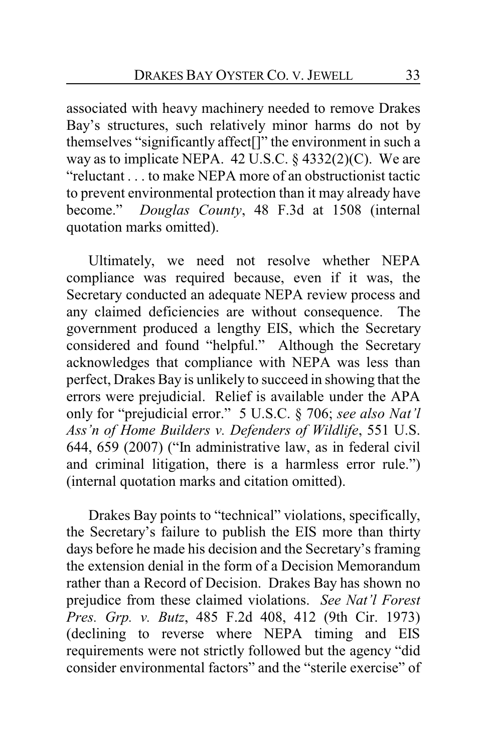associated with heavy machinery needed to remove Drakes Bay's structures, such relatively minor harms do not by themselves "significantly affect[]" the environment in such a way as to implicate NEPA. 42 U.S.C.  $\S$  4332(2)(C). We are "reluctant . . . to make NEPA more of an obstructionist tactic to prevent environmental protection than it may already have become." *Douglas County*, 48 F.3d at 1508 (internal quotation marks omitted).

Ultimately, we need not resolve whether NEPA compliance was required because, even if it was, the Secretary conducted an adequate NEPA review process and any claimed deficiencies are without consequence. The government produced a lengthy EIS, which the Secretary considered and found "helpful." Although the Secretary acknowledges that compliance with NEPA was less than perfect, Drakes Bay is unlikely to succeed in showing that the errors were prejudicial. Relief is available under the APA only for "prejudicial error." 5 U.S.C. § 706; *see also Nat'l Ass'n of Home Builders v. Defenders of Wildlife*, 551 U.S. 644, 659 (2007) ("In administrative law, as in federal civil and criminal litigation, there is a harmless error rule.") (internal quotation marks and citation omitted).

Drakes Bay points to "technical" violations, specifically, the Secretary's failure to publish the EIS more than thirty days before he made his decision and the Secretary's framing the extension denial in the form of a Decision Memorandum rather than a Record of Decision. Drakes Bay has shown no prejudice from these claimed violations. *See Nat'l Forest Pres. Grp. v. Butz*, 485 F.2d 408, 412 (9th Cir. 1973) (declining to reverse where NEPA timing and EIS requirements were not strictly followed but the agency "did consider environmental factors" and the "sterile exercise" of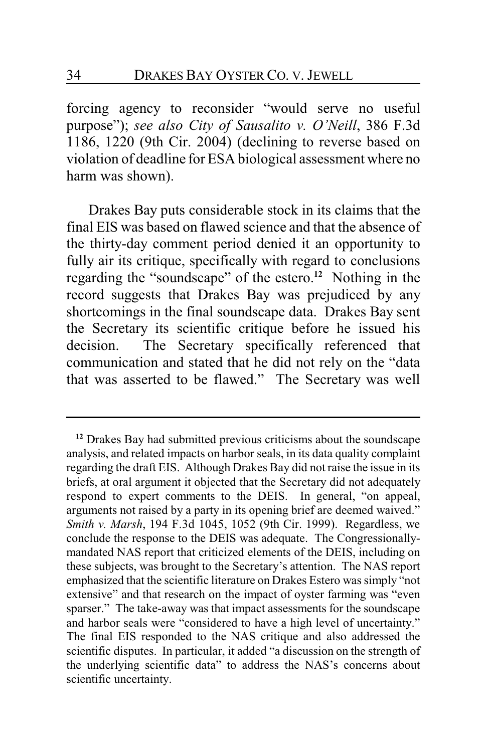forcing agency to reconsider "would serve no useful purpose"); *see also City of Sausalito v. O'Neill*, 386 F.3d 1186, 1220 (9th Cir. 2004) (declining to reverse based on violation of deadline for ESA biological assessment where no harm was shown).

Drakes Bay puts considerable stock in its claims that the final EIS was based on flawed science and that the absence of the thirty-day comment period denied it an opportunity to fully air its critique, specifically with regard to conclusions regarding the "soundscape" of the estero.**<sup>12</sup>** Nothing in the record suggests that Drakes Bay was prejudiced by any shortcomings in the final soundscape data. Drakes Bay sent the Secretary its scientific critique before he issued his decision. The Secretary specifically referenced that communication and stated that he did not rely on the "data that was asserted to be flawed." The Secretary was well

**<sup>12</sup>** Drakes Bay had submitted previous criticisms about the soundscape analysis, and related impacts on harbor seals, in its data quality complaint regarding the draft EIS. Although Drakes Bay did not raise the issue in its briefs, at oral argument it objected that the Secretary did not adequately respond to expert comments to the DEIS. In general, "on appeal, arguments not raised by a party in its opening brief are deemed waived." *Smith v. Marsh*, 194 F.3d 1045, 1052 (9th Cir. 1999). Regardless, we conclude the response to the DEIS was adequate. The Congressionallymandated NAS report that criticized elements of the DEIS, including on these subjects, was brought to the Secretary's attention. The NAS report emphasized that the scientific literature on Drakes Estero was simply "not extensive" and that research on the impact of oyster farming was "even sparser." The take-away was that impact assessments for the soundscape and harbor seals were "considered to have a high level of uncertainty." The final EIS responded to the NAS critique and also addressed the scientific disputes. In particular, it added "a discussion on the strength of the underlying scientific data" to address the NAS's concerns about scientific uncertainty.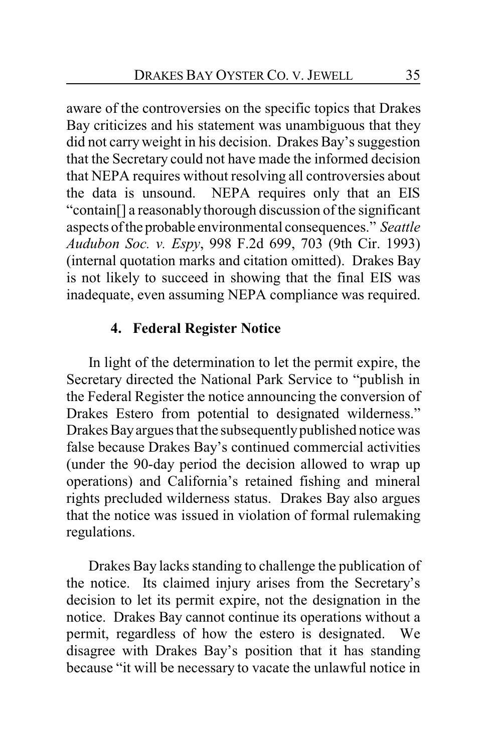aware of the controversies on the specific topics that Drakes Bay criticizes and his statement was unambiguous that they did not carryweight in his decision. Drakes Bay's suggestion that the Secretary could not have made the informed decision that NEPA requires without resolving all controversies about the data is unsound. NEPA requires only that an EIS "contain[] a reasonablythorough discussion of the significant aspects ofthe probable environmental consequences." *Seattle Audubon Soc. v. Espy*, 998 F.2d 699, 703 (9th Cir. 1993) (internal quotation marks and citation omitted). Drakes Bay is not likely to succeed in showing that the final EIS was inadequate, even assuming NEPA compliance was required.

# **4. Federal Register Notice**

In light of the determination to let the permit expire, the Secretary directed the National Park Service to "publish in the Federal Register the notice announcing the conversion of Drakes Estero from potential to designated wilderness." Drakes Bayargues that the subsequentlypublished notice was false because Drakes Bay's continued commercial activities (under the 90-day period the decision allowed to wrap up operations) and California's retained fishing and mineral rights precluded wilderness status. Drakes Bay also argues that the notice was issued in violation of formal rulemaking regulations.

Drakes Bay lacks standing to challenge the publication of the notice. Its claimed injury arises from the Secretary's decision to let its permit expire, not the designation in the notice. Drakes Bay cannot continue its operations without a permit, regardless of how the estero is designated. We disagree with Drakes Bay's position that it has standing because "it will be necessary to vacate the unlawful notice in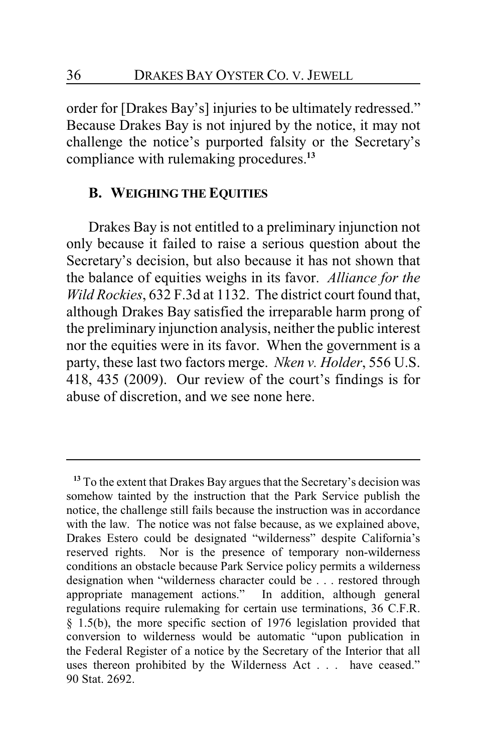order for [Drakes Bay's] injuries to be ultimately redressed." Because Drakes Bay is not injured by the notice, it may not challenge the notice's purported falsity or the Secretary's compliance with rulemaking procedures.**<sup>13</sup>**

#### **B. WEIGHING THE EQUITIES**

Drakes Bay is not entitled to a preliminary injunction not only because it failed to raise a serious question about the Secretary's decision, but also because it has not shown that the balance of equities weighs in its favor. *Alliance for the Wild Rockies*, 632 F.3d at 1132. The district court found that, although Drakes Bay satisfied the irreparable harm prong of the preliminary injunction analysis, neither the public interest nor the equities were in its favor. When the government is a party, these last two factors merge. *Nken v. Holder*, 556 U.S. 418, 435 (2009). Our review of the court's findings is for abuse of discretion, and we see none here.

**<sup>13</sup>** To the extent that Drakes Bay argues that the Secretary's decision was somehow tainted by the instruction that the Park Service publish the notice, the challenge still fails because the instruction was in accordance with the law. The notice was not false because, as we explained above, Drakes Estero could be designated "wilderness" despite California's reserved rights. Nor is the presence of temporary non-wilderness conditions an obstacle because Park Service policy permits a wilderness designation when "wilderness character could be . . . restored through appropriate management actions." In addition, although general regulations require rulemaking for certain use terminations, 36 C.F.R. § 1.5(b), the more specific section of 1976 legislation provided that conversion to wilderness would be automatic "upon publication in the Federal Register of a notice by the Secretary of the Interior that all uses thereon prohibited by the Wilderness Act . . . have ceased." 90 Stat. 2692.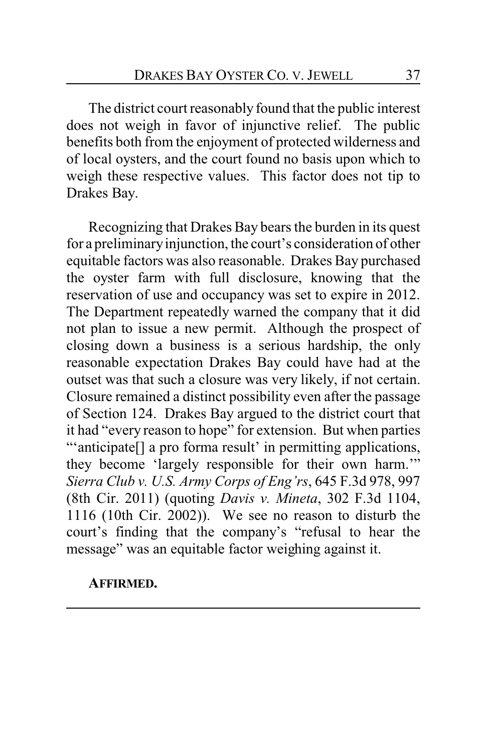The district court reasonably found that the public interest does not weigh in favor of injunctive relief. The public benefits both from the enjoyment of protected wilderness and of local oysters, and the court found no basis upon which to weigh these respective values. This factor does not tip to Drakes Bay.

Recognizing that Drakes Bay bears the burden in its quest for a preliminaryinjunction, the court's consideration of other equitable factors was also reasonable. Drakes Bay purchased the oyster farm with full disclosure, knowing that the reservation of use and occupancy was set to expire in 2012. The Department repeatedly warned the company that it did not plan to issue a new permit. Although the prospect of closing down a business is a serious hardship, the only reasonable expectation Drakes Bay could have had at the outset was that such a closure was very likely, if not certain. Closure remained a distinct possibility even after the passage of Section 124. Drakes Bay argued to the district court that it had "every reason to hope" for extension. But when parties "'anticipate[] a pro forma result' in permitting applications, they become 'largely responsible for their own harm.'" *Sierra Club v. U.S. Army Corps of Eng'rs*, 645 F.3d 978, 997 (8th Cir. 2011) (quoting *Davis v. Mineta*, 302 F.3d 1104, 1116 (10th Cir. 2002)). We see no reason to disturb the court's finding that the company's "refusal to hear the message" was an equitable factor weighing against it.

### **AFFIRMED.**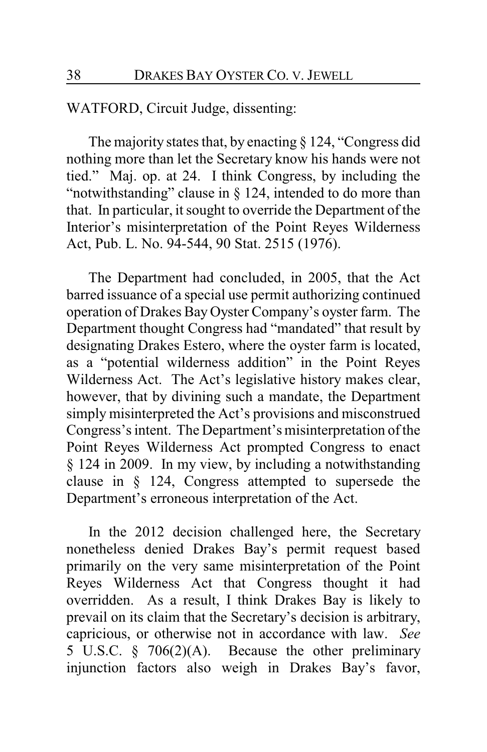WATFORD, Circuit Judge, dissenting:

The majority states that, by enacting § 124, "Congress did nothing more than let the Secretary know his hands were not tied." Maj. op. at 24. I think Congress, by including the "notwithstanding" clause in § 124, intended to do more than that. In particular, it sought to override the Department of the Interior's misinterpretation of the Point Reyes Wilderness Act, Pub. L. No. 94-544, 90 Stat. 2515 (1976).

The Department had concluded, in 2005, that the Act barred issuance of a special use permit authorizing continued operation of Drakes Bay Oyster Company's oyster farm. The Department thought Congress had "mandated" that result by designating Drakes Estero, where the oyster farm is located, as a "potential wilderness addition" in the Point Reyes Wilderness Act. The Act's legislative history makes clear, however, that by divining such a mandate, the Department simply misinterpreted the Act's provisions and misconstrued Congress's intent. The Department's misinterpretation of the Point Reyes Wilderness Act prompted Congress to enact § 124 in 2009. In my view, by including a notwithstanding clause in § 124, Congress attempted to supersede the Department's erroneous interpretation of the Act.

In the 2012 decision challenged here, the Secretary nonetheless denied Drakes Bay's permit request based primarily on the very same misinterpretation of the Point Reyes Wilderness Act that Congress thought it had overridden. As a result, I think Drakes Bay is likely to prevail on its claim that the Secretary's decision is arbitrary, capricious, or otherwise not in accordance with law. *See* 5 U.S.C. § 706(2)(A). Because the other preliminary injunction factors also weigh in Drakes Bay's favor,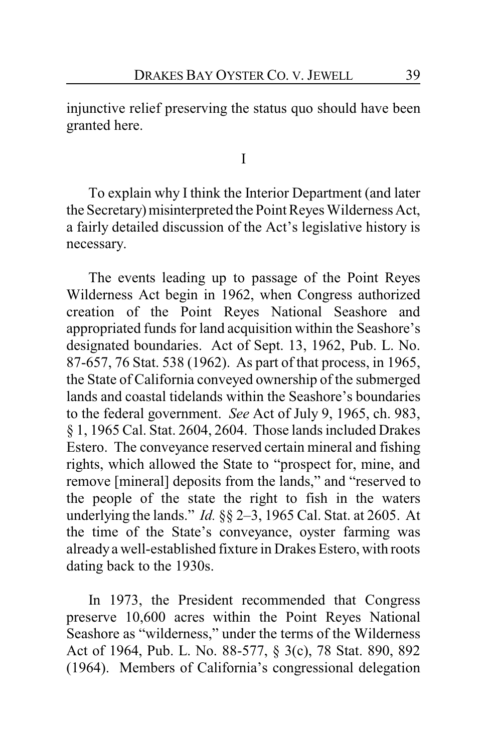injunctive relief preserving the status quo should have been granted here.

I

To explain why I think the Interior Department (and later the Secretary) misinterpreted the Point Reyes Wilderness Act, a fairly detailed discussion of the Act's legislative history is necessary.

The events leading up to passage of the Point Reyes Wilderness Act begin in 1962, when Congress authorized creation of the Point Reyes National Seashore and appropriated funds for land acquisition within the Seashore's designated boundaries. Act of Sept. 13, 1962, Pub. L. No. 87-657, 76 Stat. 538 (1962). As part of that process, in 1965, the State of California conveyed ownership of the submerged lands and coastal tidelands within the Seashore's boundaries to the federal government. *See* Act of July 9, 1965, ch. 983, § 1, 1965 Cal. Stat. 2604, 2604. Those lands included Drakes Estero. The conveyance reserved certain mineral and fishing rights, which allowed the State to "prospect for, mine, and remove [mineral] deposits from the lands," and "reserved to the people of the state the right to fish in the waters underlying the lands." *Id.* §§ 2–3, 1965 Cal. Stat. at 2605. At the time of the State's conveyance, oyster farming was alreadya well-established fixture in Drakes Estero, with roots dating back to the 1930s.

In 1973, the President recommended that Congress preserve 10,600 acres within the Point Reyes National Seashore as "wilderness," under the terms of the Wilderness Act of 1964, Pub. L. No. 88-577, § 3(c), 78 Stat. 890, 892 (1964). Members of California's congressional delegation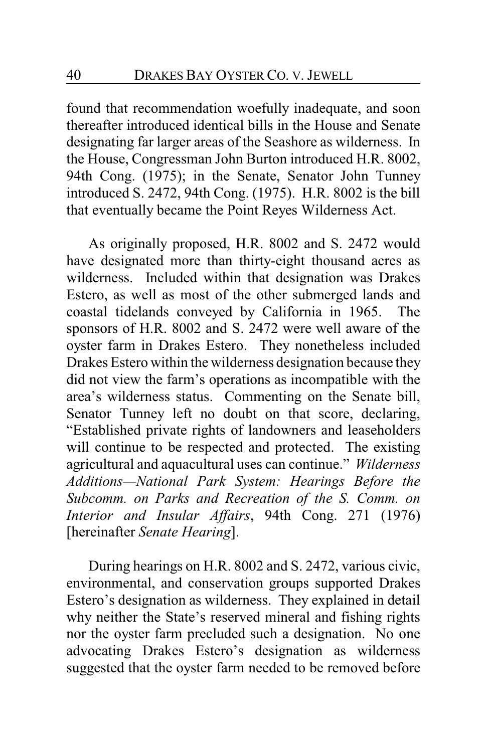found that recommendation woefully inadequate, and soon thereafter introduced identical bills in the House and Senate designating far larger areas of the Seashore as wilderness. In the House, Congressman John Burton introduced H.R. 8002, 94th Cong. (1975); in the Senate, Senator John Tunney introduced S. 2472, 94th Cong. (1975). H.R. 8002 is the bill that eventually became the Point Reyes Wilderness Act.

As originally proposed, H.R. 8002 and S. 2472 would have designated more than thirty-eight thousand acres as wilderness. Included within that designation was Drakes Estero, as well as most of the other submerged lands and coastal tidelands conveyed by California in 1965. The sponsors of H.R. 8002 and S. 2472 were well aware of the oyster farm in Drakes Estero. They nonetheless included Drakes Estero within the wilderness designation because they did not view the farm's operations as incompatible with the area's wilderness status. Commenting on the Senate bill, Senator Tunney left no doubt on that score, declaring, "Established private rights of landowners and leaseholders will continue to be respected and protected. The existing agricultural and aquacultural uses can continue." *Wilderness Additions—National Park System: Hearings Before the Subcomm. on Parks and Recreation of the S. Comm. on Interior and Insular Affairs*, 94th Cong. 271 (1976) [hereinafter *Senate Hearing*].

During hearings on H.R. 8002 and S. 2472, various civic, environmental, and conservation groups supported Drakes Estero's designation as wilderness. They explained in detail why neither the State's reserved mineral and fishing rights nor the oyster farm precluded such a designation. No one advocating Drakes Estero's designation as wilderness suggested that the oyster farm needed to be removed before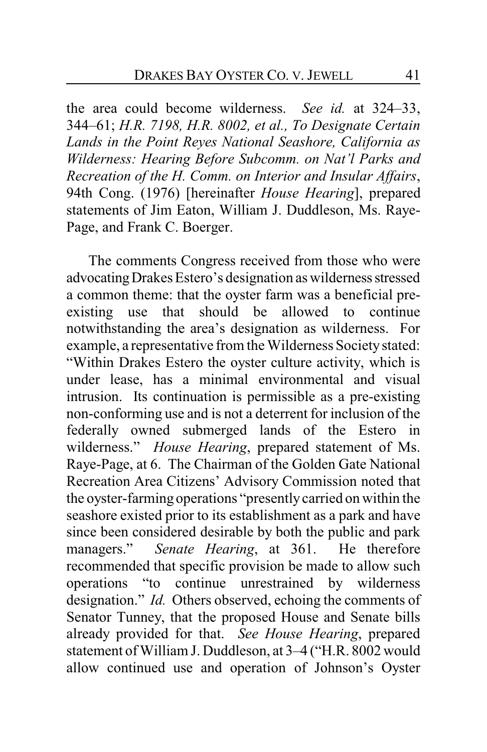the area could become wilderness. *See id.* at 324–33, 344–61; *H.R. 7198, H.R. 8002, et al., To Designate Certain Lands in the Point Reyes National Seashore, California as Wilderness: Hearing Before Subcomm. on Nat'l Parks and Recreation of the H. Comm. on Interior and Insular Affairs*, 94th Cong. (1976) [hereinafter *House Hearing*], prepared statements of Jim Eaton, William J. Duddleson, Ms. Raye-Page, and Frank C. Boerger.

The comments Congress received from those who were advocating Drakes Estero's designation as wilderness stressed a common theme: that the oyster farm was a beneficial preexisting use that should be allowed to continue notwithstanding the area's designation as wilderness. For example, a representative from the Wilderness Society stated: "Within Drakes Estero the oyster culture activity, which is under lease, has a minimal environmental and visual intrusion. Its continuation is permissible as a pre-existing non-conforming use and is not a deterrent for inclusion of the federally owned submerged lands of the Estero in wilderness." *House Hearing*, prepared statement of Ms. Raye-Page, at 6. The Chairman of the Golden Gate National Recreation Area Citizens' Advisory Commission noted that the oyster-farming operations "presentlycarried on within the seashore existed prior to its establishment as a park and have since been considered desirable by both the public and park managers." *Senate Hearing*, at 361. He therefore recommended that specific provision be made to allow such operations "to continue unrestrained by wilderness designation." *Id.* Others observed, echoing the comments of Senator Tunney, that the proposed House and Senate bills already provided for that. *See House Hearing*, prepared statement of William J. Duddleson, at 3–4 ("H.R. 8002 would allow continued use and operation of Johnson's Oyster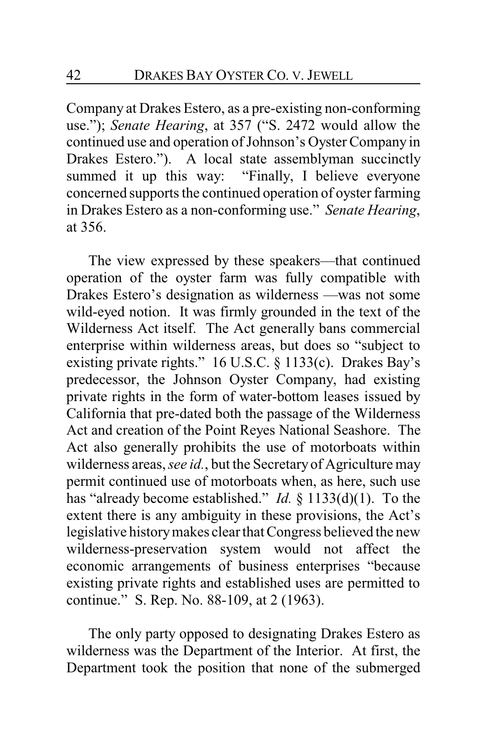Company at Drakes Estero, as a pre-existing non-conforming use."); *Senate Hearing*, at 357 ("S. 2472 would allow the continued use and operation of Johnson's Oyster Company in Drakes Estero."). A local state assemblyman succinctly summed it up this way: "Finally, I believe everyone concerned supports the continued operation of oyster farming in Drakes Estero as a non-conforming use." *Senate Hearing*, at 356.

The view expressed by these speakers—that continued operation of the oyster farm was fully compatible with Drakes Estero's designation as wilderness —was not some wild-eyed notion. It was firmly grounded in the text of the Wilderness Act itself. The Act generally bans commercial enterprise within wilderness areas, but does so "subject to existing private rights." 16 U.S.C. § 1133(c). Drakes Bay's predecessor, the Johnson Oyster Company, had existing private rights in the form of water-bottom leases issued by California that pre-dated both the passage of the Wilderness Act and creation of the Point Reyes National Seashore. The Act also generally prohibits the use of motorboats within wilderness areas, *see id.*, but the Secretaryof Agriculture may permit continued use of motorboats when, as here, such use has "already become established." *Id.* § 1133(d)(1). To the extent there is any ambiguity in these provisions, the Act's legislative historymakes clear that Congress believed the new wilderness-preservation system would not affect the economic arrangements of business enterprises "because existing private rights and established uses are permitted to continue." S. Rep. No. 88-109, at 2 (1963).

The only party opposed to designating Drakes Estero as wilderness was the Department of the Interior. At first, the Department took the position that none of the submerged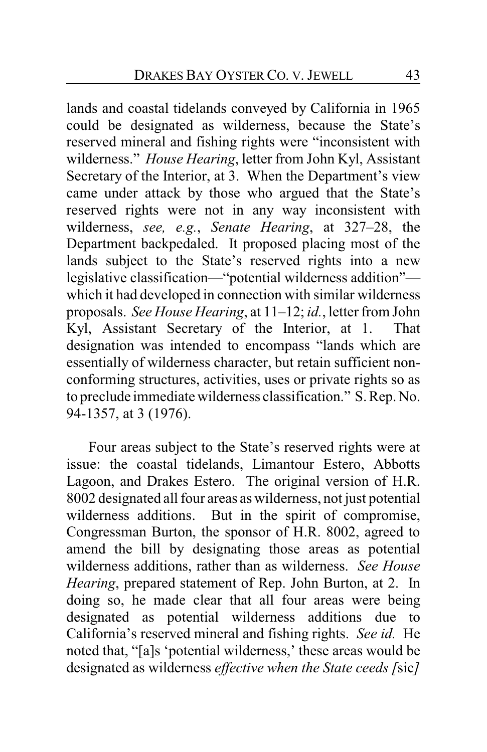lands and coastal tidelands conveyed by California in 1965 could be designated as wilderness, because the State's reserved mineral and fishing rights were "inconsistent with wilderness." *House Hearing*, letter from John Kyl, Assistant Secretary of the Interior, at 3. When the Department's view came under attack by those who argued that the State's reserved rights were not in any way inconsistent with wilderness, *see, e.g.*, *Senate Hearing*, at 327–28, the Department backpedaled. It proposed placing most of the lands subject to the State's reserved rights into a new legislative classification—"potential wilderness addition" which it had developed in connection with similar wilderness proposals. *See House Hearing*, at 11–12; *id.*, letter from John Kyl, Assistant Secretary of the Interior, at 1. That designation was intended to encompass "lands which are essentially of wilderness character, but retain sufficient nonconforming structures, activities, uses or private rights so as to preclude immediate wilderness classification." S. Rep. No. 94-1357, at 3 (1976).

Four areas subject to the State's reserved rights were at issue: the coastal tidelands, Limantour Estero, Abbotts Lagoon, and Drakes Estero. The original version of H.R. 8002 designated all four areas as wilderness, not just potential wilderness additions. But in the spirit of compromise, Congressman Burton, the sponsor of H.R. 8002, agreed to amend the bill by designating those areas as potential wilderness additions, rather than as wilderness. *See House Hearing*, prepared statement of Rep. John Burton, at 2. In doing so, he made clear that all four areas were being designated as potential wilderness additions due to California's reserved mineral and fishing rights. *See id.* He noted that, "[a]s 'potential wilderness,' these areas would be designated as wilderness *effective when the State ceeds [*sic*]*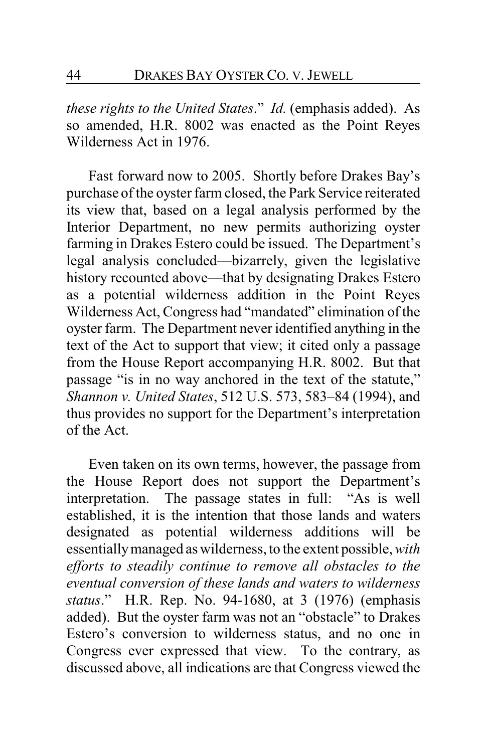*these rights to the United States*." *Id.* (emphasis added). As so amended, H.R. 8002 was enacted as the Point Reyes Wilderness Act in 1976.

Fast forward now to 2005. Shortly before Drakes Bay's purchase of the oyster farm closed, the Park Service reiterated its view that, based on a legal analysis performed by the Interior Department, no new permits authorizing oyster farming in Drakes Estero could be issued. The Department's legal analysis concluded—bizarrely, given the legislative history recounted above—that by designating Drakes Estero as a potential wilderness addition in the Point Reyes Wilderness Act, Congress had "mandated" elimination of the oyster farm. The Department never identified anything in the text of the Act to support that view; it cited only a passage from the House Report accompanying H.R. 8002. But that passage "is in no way anchored in the text of the statute," *Shannon v. United States*, 512 U.S. 573, 583–84 (1994), and thus provides no support for the Department's interpretation of the Act.

Even taken on its own terms, however, the passage from the House Report does not support the Department's interpretation. The passage states in full: "As is well established, it is the intention that those lands and waters designated as potential wilderness additions will be essentiallymanaged as wilderness, to the extent possible, *with efforts to steadily continue to remove all obstacles to the eventual conversion of these lands and waters to wilderness status*." H.R. Rep. No. 94-1680, at 3 (1976) (emphasis added). But the oyster farm was not an "obstacle" to Drakes Estero's conversion to wilderness status, and no one in Congress ever expressed that view. To the contrary, as discussed above, all indications are that Congress viewed the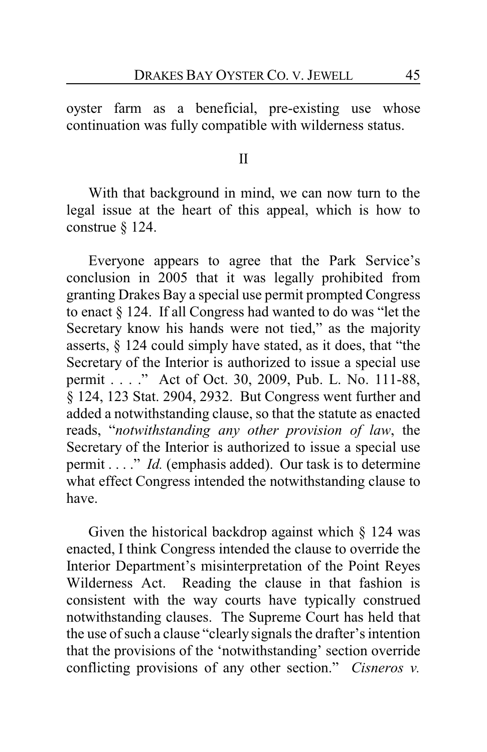oyster farm as a beneficial, pre-existing use whose continuation was fully compatible with wilderness status.

#### II

With that background in mind, we can now turn to the legal issue at the heart of this appeal, which is how to construe § 124.

Everyone appears to agree that the Park Service's conclusion in 2005 that it was legally prohibited from granting Drakes Bay a special use permit prompted Congress to enact § 124. If all Congress had wanted to do was "let the Secretary know his hands were not tied," as the majority asserts, § 124 could simply have stated, as it does, that "the Secretary of the Interior is authorized to issue a special use permit . . . ." Act of Oct. 30, 2009, Pub. L. No. 111-88, § 124, 123 Stat. 2904, 2932. But Congress went further and added a notwithstanding clause, so that the statute as enacted reads, "*notwithstanding any other provision of law*, the Secretary of the Interior is authorized to issue a special use permit . . . ." *Id.* (emphasis added). Our task is to determine what effect Congress intended the notwithstanding clause to have.

Given the historical backdrop against which § 124 was enacted, I think Congress intended the clause to override the Interior Department's misinterpretation of the Point Reyes Wilderness Act. Reading the clause in that fashion is consistent with the way courts have typically construed notwithstanding clauses. The Supreme Court has held that the use of such a clause "clearly signals the drafter's intention that the provisions of the 'notwithstanding' section override conflicting provisions of any other section." *Cisneros v.*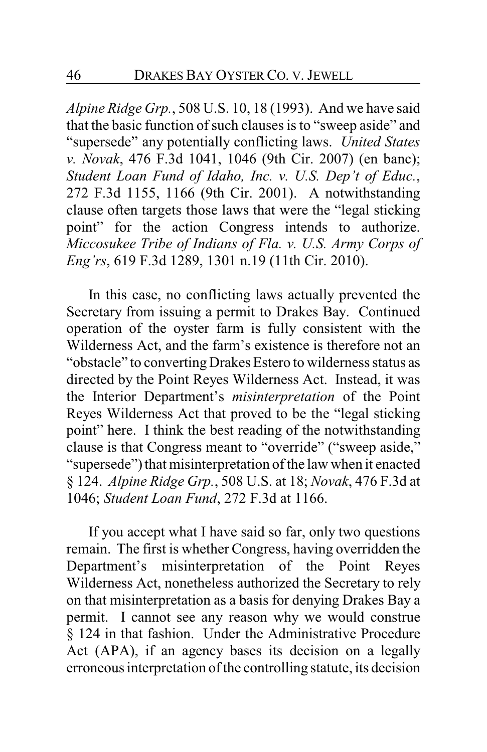*Alpine Ridge Grp.*, 508 U.S. 10, 18 (1993). And we have said that the basic function of such clauses is to "sweep aside" and "supersede" any potentially conflicting laws. *United States v. Novak*, 476 F.3d 1041, 1046 (9th Cir. 2007) (en banc); *Student Loan Fund of Idaho, Inc. v. U.S. Dep't of Educ.*, 272 F.3d 1155, 1166 (9th Cir. 2001). A notwithstanding clause often targets those laws that were the "legal sticking point" for the action Congress intends to authorize. *Miccosukee Tribe of Indians of Fla. v. U.S. Army Corps of Eng'rs*, 619 F.3d 1289, 1301 n.19 (11th Cir. 2010).

In this case, no conflicting laws actually prevented the Secretary from issuing a permit to Drakes Bay. Continued operation of the oyster farm is fully consistent with the Wilderness Act, and the farm's existence is therefore not an "obstacle" to convertingDrakes Estero to wilderness status as directed by the Point Reyes Wilderness Act. Instead, it was the Interior Department's *misinterpretation* of the Point Reyes Wilderness Act that proved to be the "legal sticking point" here. I think the best reading of the notwithstanding clause is that Congress meant to "override" ("sweep aside," "supersede") that misinterpretation of the law when it enacted § 124. *Alpine Ridge Grp.*, 508 U.S. at 18; *Novak*, 476 F.3d at 1046; *Student Loan Fund*, 272 F.3d at 1166.

If you accept what I have said so far, only two questions remain. The first is whether Congress, having overridden the Department's misinterpretation of the Point Reyes Wilderness Act, nonetheless authorized the Secretary to rely on that misinterpretation as a basis for denying Drakes Bay a permit. I cannot see any reason why we would construe § 124 in that fashion. Under the Administrative Procedure Act (APA), if an agency bases its decision on a legally erroneous interpretation of the controlling statute, its decision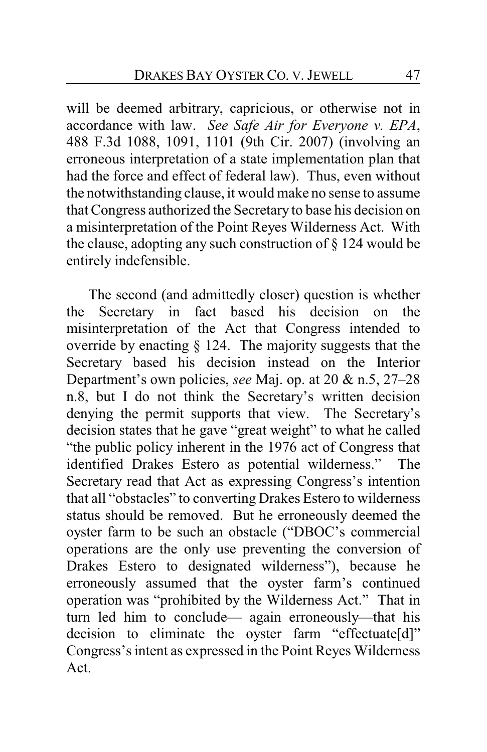will be deemed arbitrary, capricious, or otherwise not in accordance with law. *See Safe Air for Everyone v. EPA*, 488 F.3d 1088, 1091, 1101 (9th Cir. 2007) (involving an erroneous interpretation of a state implementation plan that had the force and effect of federal law). Thus, even without the notwithstanding clause, it would make no sense to assume that Congress authorized the Secretary to base his decision on a misinterpretation of the Point Reyes Wilderness Act. With the clause, adopting any such construction of § 124 would be entirely indefensible.

The second (and admittedly closer) question is whether the Secretary in fact based his decision on the misinterpretation of the Act that Congress intended to override by enacting § 124. The majority suggests that the Secretary based his decision instead on the Interior Department's own policies, *see* Maj. op. at 20 & n.5, 27–28 n.8, but I do not think the Secretary's written decision denying the permit supports that view. The Secretary's decision states that he gave "great weight" to what he called "the public policy inherent in the 1976 act of Congress that identified Drakes Estero as potential wilderness." The Secretary read that Act as expressing Congress's intention that all "obstacles" to converting Drakes Estero to wilderness status should be removed. But he erroneously deemed the oyster farm to be such an obstacle ("DBOC's commercial operations are the only use preventing the conversion of Drakes Estero to designated wilderness"), because he erroneously assumed that the oyster farm's continued operation was "prohibited by the Wilderness Act." That in turn led him to conclude— again erroneously—that his decision to eliminate the oyster farm "effectuate[d]" Congress's intent as expressed in the Point Reyes Wilderness Act.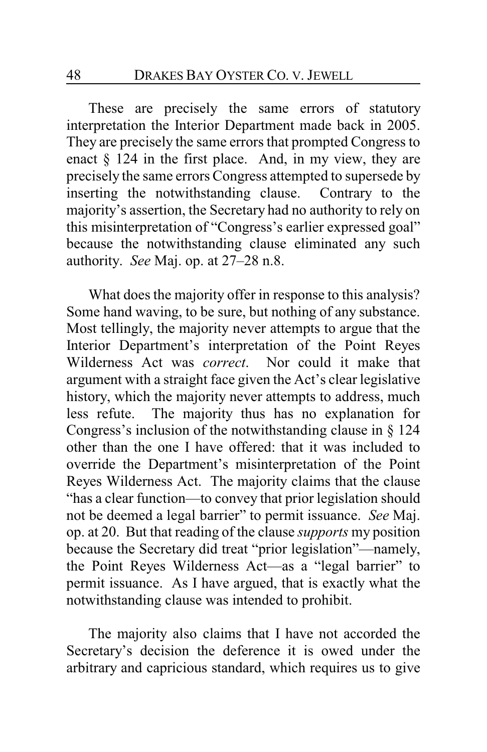These are precisely the same errors of statutory interpretation the Interior Department made back in 2005. They are precisely the same errors that prompted Congress to enact § 124 in the first place. And, in my view, they are precisely the same errors Congress attempted to supersede by inserting the notwithstanding clause. Contrary to the majority's assertion, the Secretary had no authority to rely on this misinterpretation of "Congress's earlier expressed goal" because the notwithstanding clause eliminated any such authority. *See* Maj. op. at 27–28 n.8.

What does the majority offer in response to this analysis? Some hand waving, to be sure, but nothing of any substance. Most tellingly, the majority never attempts to argue that the Interior Department's interpretation of the Point Reyes Wilderness Act was *correct*. Nor could it make that argument with a straight face given the Act's clear legislative history, which the majority never attempts to address, much less refute. The majority thus has no explanation for Congress's inclusion of the notwithstanding clause in § 124 other than the one I have offered: that it was included to override the Department's misinterpretation of the Point Reyes Wilderness Act. The majority claims that the clause "has a clear function—to convey that prior legislation should not be deemed a legal barrier" to permit issuance. *See* Maj. op. at 20. But that reading of the clause *supports* my position because the Secretary did treat "prior legislation"—namely, the Point Reyes Wilderness Act—as a "legal barrier" to permit issuance. As I have argued, that is exactly what the notwithstanding clause was intended to prohibit.

The majority also claims that I have not accorded the Secretary's decision the deference it is owed under the arbitrary and capricious standard, which requires us to give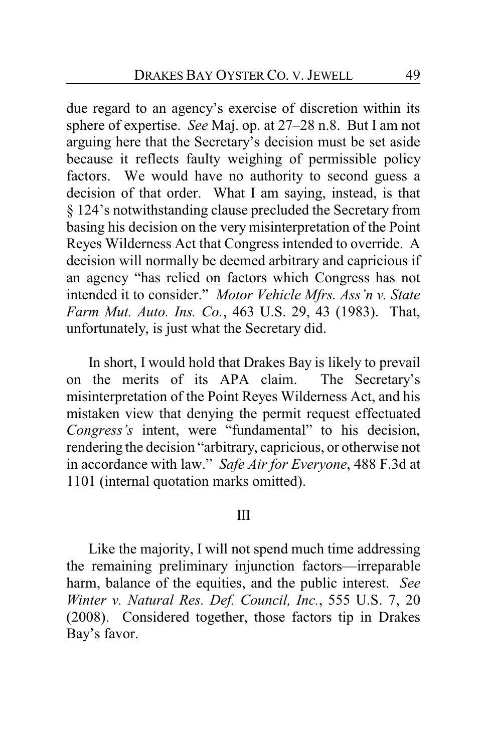due regard to an agency's exercise of discretion within its sphere of expertise. *See* Maj. op. at 27–28 n.8. But I am not arguing here that the Secretary's decision must be set aside because it reflects faulty weighing of permissible policy factors. We would have no authority to second guess a decision of that order. What I am saying, instead, is that § 124's notwithstanding clause precluded the Secretary from basing his decision on the very misinterpretation of the Point Reyes Wilderness Act that Congress intended to override. A decision will normally be deemed arbitrary and capricious if an agency "has relied on factors which Congress has not intended it to consider." *Motor Vehicle Mfrs. Ass'n v. State Farm Mut. Auto. Ins. Co.*, 463 U.S. 29, 43 (1983). That, unfortunately, is just what the Secretary did.

In short, I would hold that Drakes Bay is likely to prevail on the merits of its APA claim. The Secretary's misinterpretation of the Point Reyes Wilderness Act, and his mistaken view that denying the permit request effectuated *Congress's* intent, were "fundamental" to his decision, rendering the decision "arbitrary, capricious, or otherwise not in accordance with law." *Safe Air for Everyone*, 488 F.3d at 1101 (internal quotation marks omitted).

#### III

Like the majority, I will not spend much time addressing the remaining preliminary injunction factors—irreparable harm, balance of the equities, and the public interest. *See Winter v. Natural Res. Def. Council, Inc.*, 555 U.S. 7, 20 (2008). Considered together, those factors tip in Drakes Bay's favor.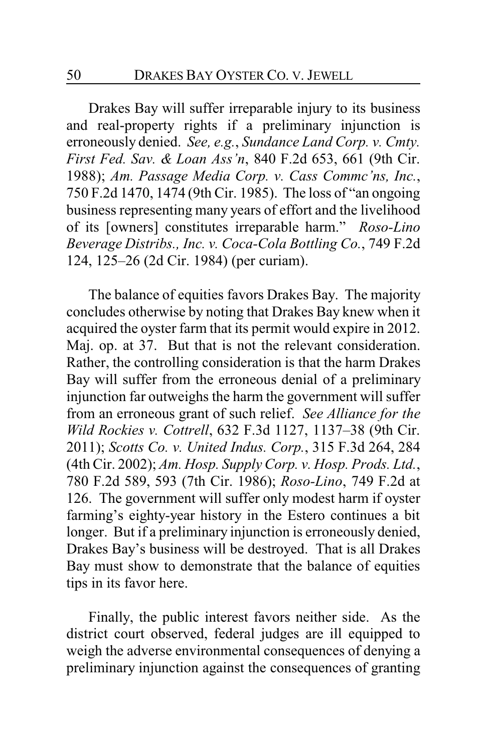Drakes Bay will suffer irreparable injury to its business and real-property rights if a preliminary injunction is erroneously denied. *See, e.g.*, *Sundance Land Corp. v. Cmty. First Fed. Sav. & Loan Ass'n*, 840 F.2d 653, 661 (9th Cir. 1988); *Am. Passage Media Corp. v. Cass Commc'ns, Inc.*, 750 F.2d 1470, 1474 (9th Cir. 1985). The loss of "an ongoing business representing many years of effort and the livelihood of its [owners] constitutes irreparable harm." *Roso-Lino Beverage Distribs., Inc. v. Coca-Cola Bottling Co.*, 749 F.2d 124, 125–26 (2d Cir. 1984) (per curiam).

The balance of equities favors Drakes Bay. The majority concludes otherwise by noting that Drakes Bay knew when it acquired the oyster farm that its permit would expire in 2012. Maj. op. at 37. But that is not the relevant consideration. Rather, the controlling consideration is that the harm Drakes Bay will suffer from the erroneous denial of a preliminary injunction far outweighs the harm the government will suffer from an erroneous grant of such relief. *See Alliance for the Wild Rockies v. Cottrell*, 632 F.3d 1127, 1137–38 (9th Cir. 2011); *Scotts Co. v. United Indus. Corp.*, 315 F.3d 264, 284 (4th Cir. 2002); *Am. Hosp. Supply Corp. v. Hosp. Prods. Ltd.*, 780 F.2d 589, 593 (7th Cir. 1986); *Roso-Lino*, 749 F.2d at 126. The government will suffer only modest harm if oyster farming's eighty-year history in the Estero continues a bit longer. But if a preliminary injunction is erroneously denied, Drakes Bay's business will be destroyed. That is all Drakes Bay must show to demonstrate that the balance of equities tips in its favor here.

Finally, the public interest favors neither side. As the district court observed, federal judges are ill equipped to weigh the adverse environmental consequences of denying a preliminary injunction against the consequences of granting